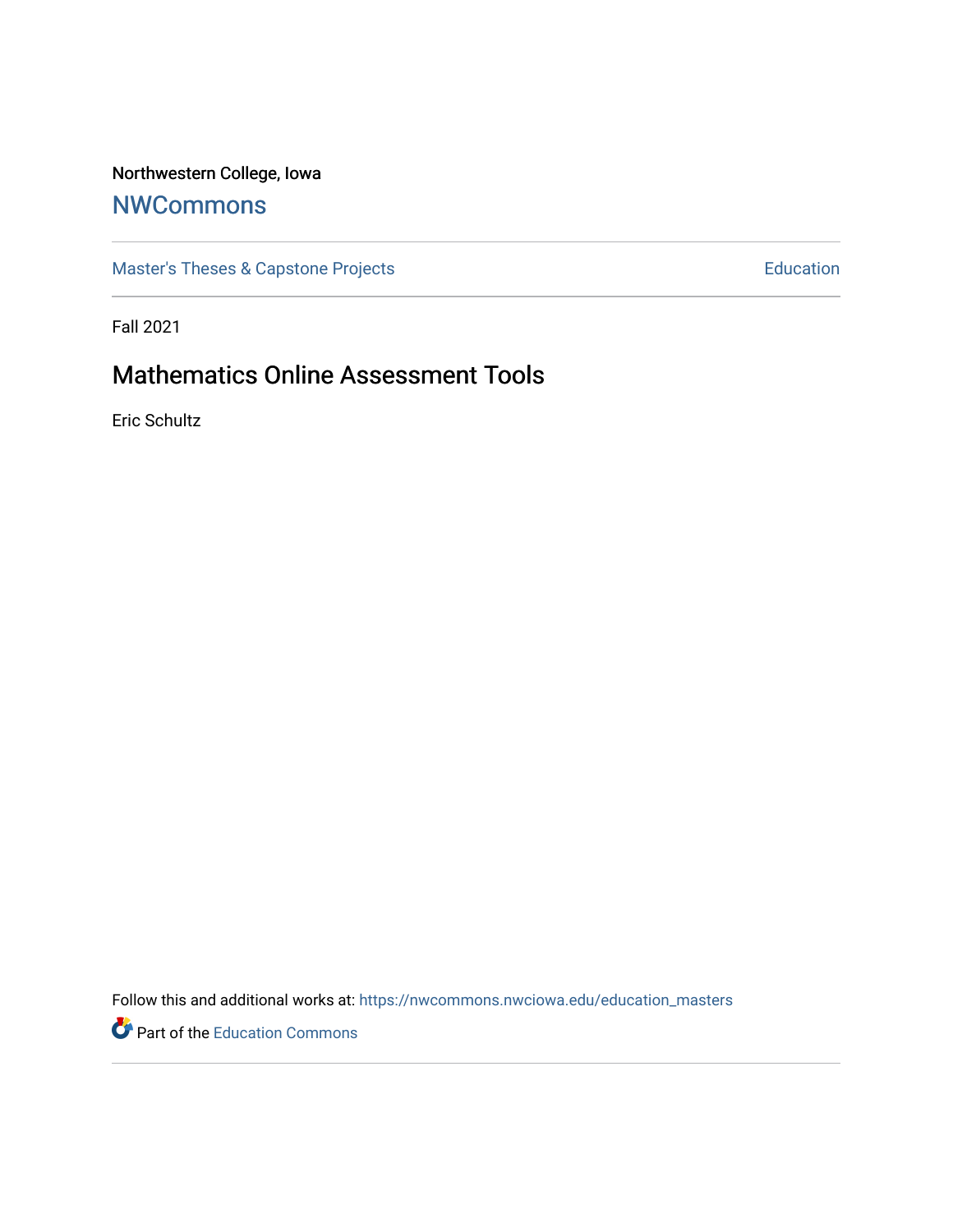# Northwestern College, Iowa

# **[NWCommons](https://nwcommons.nwciowa.edu/)**

[Master's Theses & Capstone Projects](https://nwcommons.nwciowa.edu/education_masters) **Education** Education

Fall 2021

# Mathematics Online Assessment Tools

Eric Schultz

Follow this and additional works at: [https://nwcommons.nwciowa.edu/education\\_masters](https://nwcommons.nwciowa.edu/education_masters?utm_source=nwcommons.nwciowa.edu%2Feducation_masters%2F373&utm_medium=PDF&utm_campaign=PDFCoverPages)

Part of the [Education Commons](http://network.bepress.com/hgg/discipline/784?utm_source=nwcommons.nwciowa.edu%2Feducation_masters%2F373&utm_medium=PDF&utm_campaign=PDFCoverPages)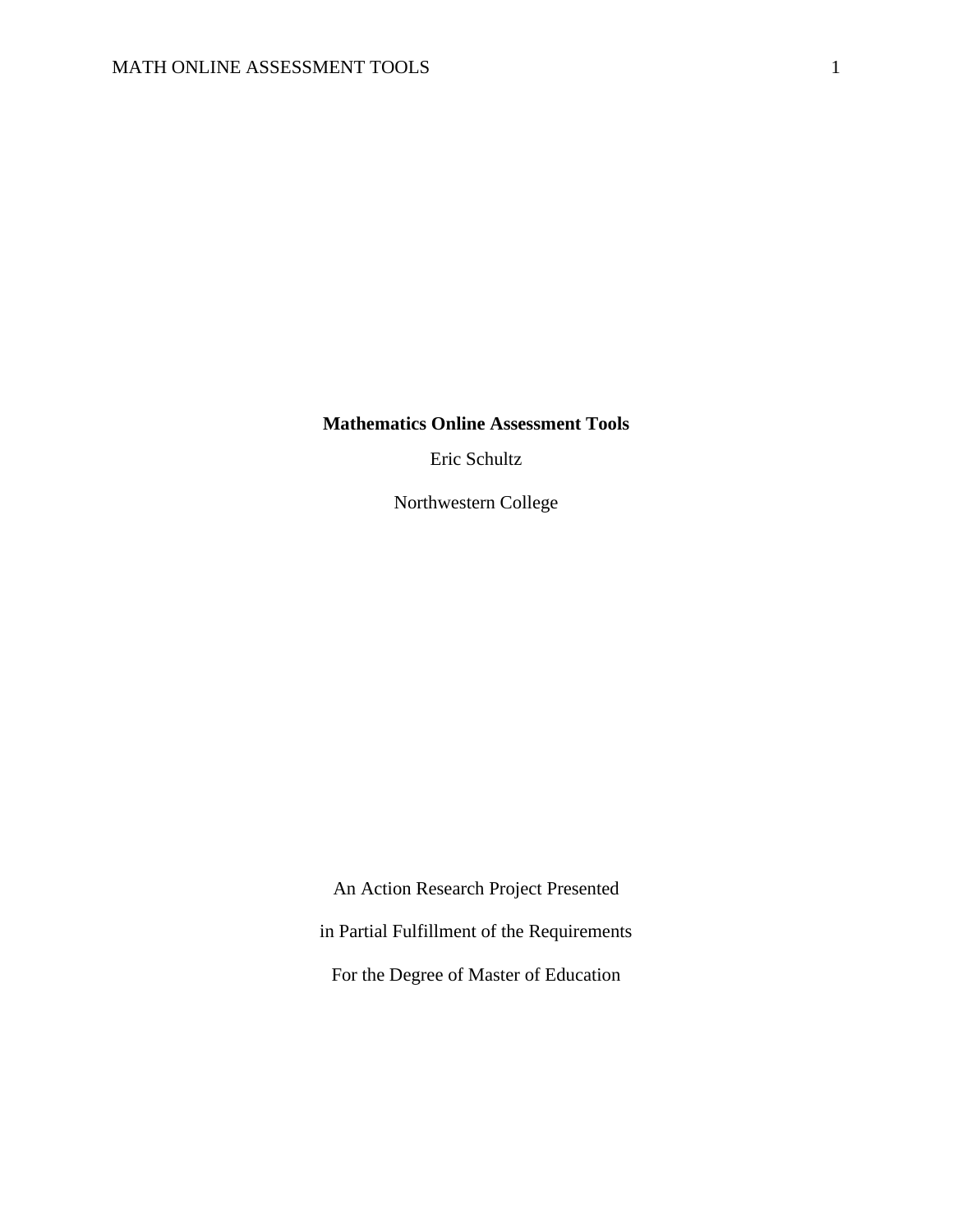**Mathematics Online Assessment Tools**

Eric Schultz

Northwestern College

An Action Research Project Presented in Partial Fulfillment of the Requirements For the Degree of Master of Education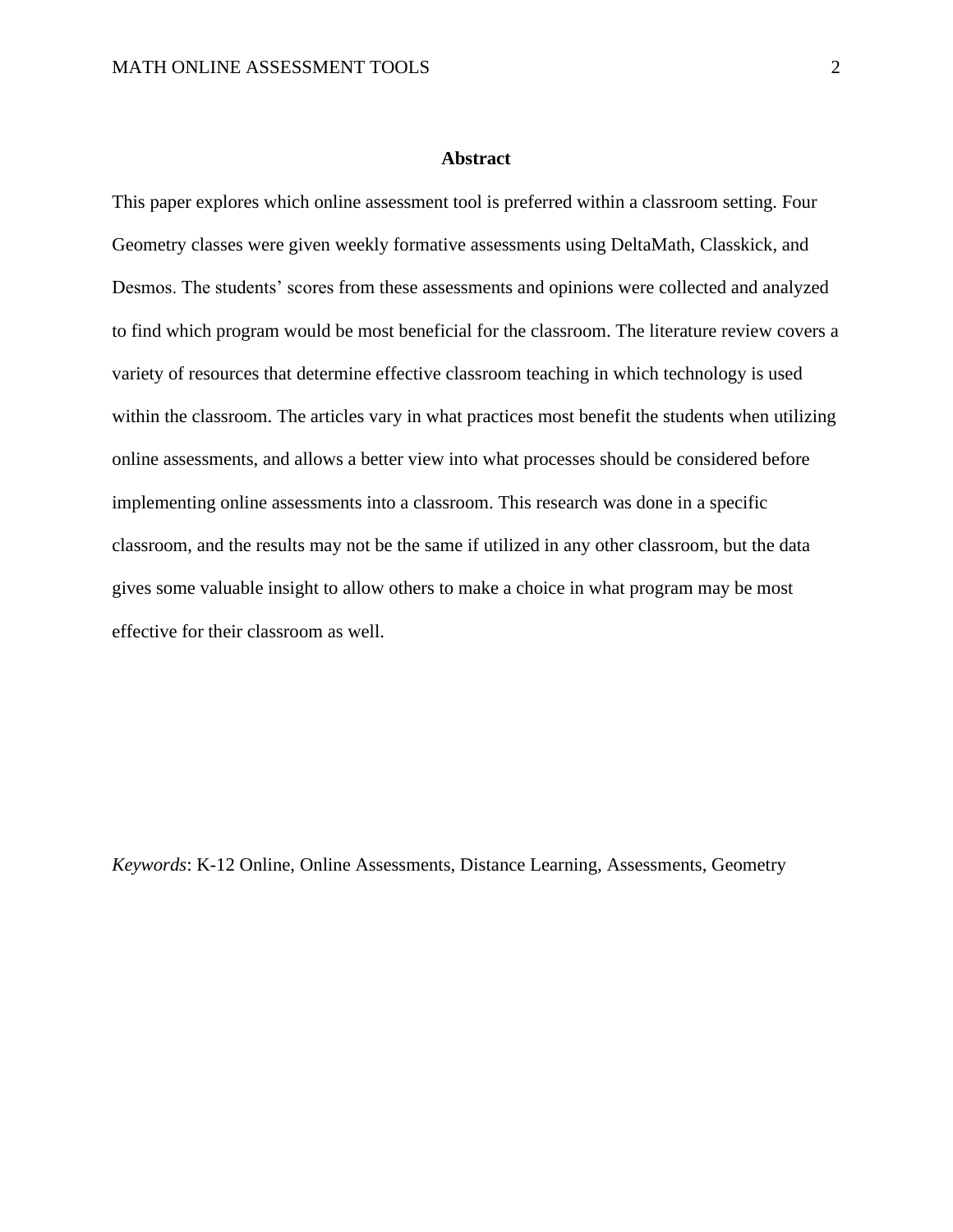#### **Abstract**

<span id="page-2-0"></span>This paper explores which online assessment tool is preferred within a classroom setting. Four Geometry classes were given weekly formative assessments using DeltaMath, Classkick, and Desmos. The students' scores from these assessments and opinions were collected and analyzed to find which program would be most beneficial for the classroom. The literature review covers a variety of resources that determine effective classroom teaching in which technology is used within the classroom. The articles vary in what practices most benefit the students when utilizing online assessments, and allows a better view into what processes should be considered before implementing online assessments into a classroom. This research was done in a specific classroom, and the results may not be the same if utilized in any other classroom, but the data gives some valuable insight to allow others to make a choice in what program may be most effective for their classroom as well.

*Keywords*: K-12 Online, Online Assessments, Distance Learning, Assessments, Geometry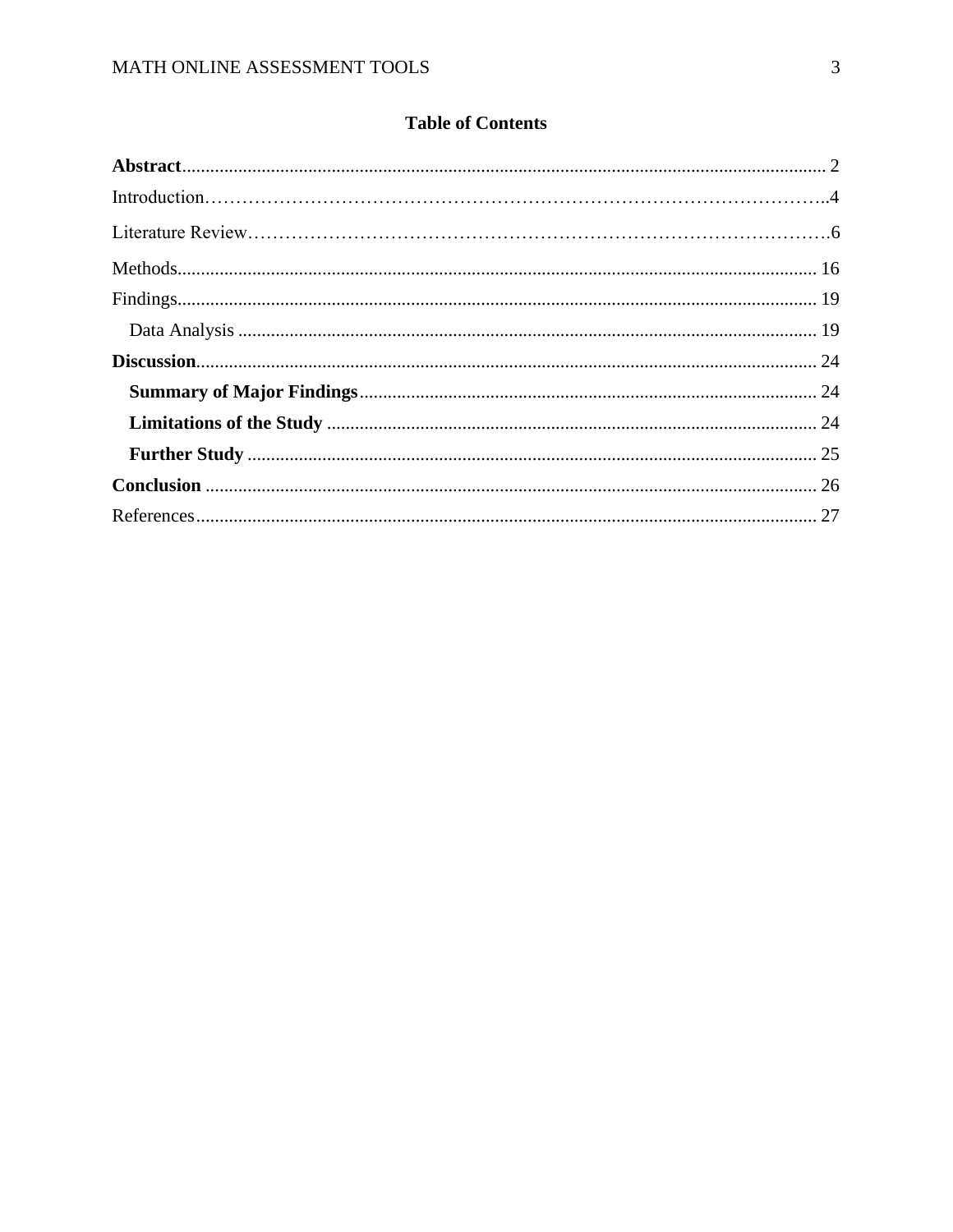# **Table of Contents**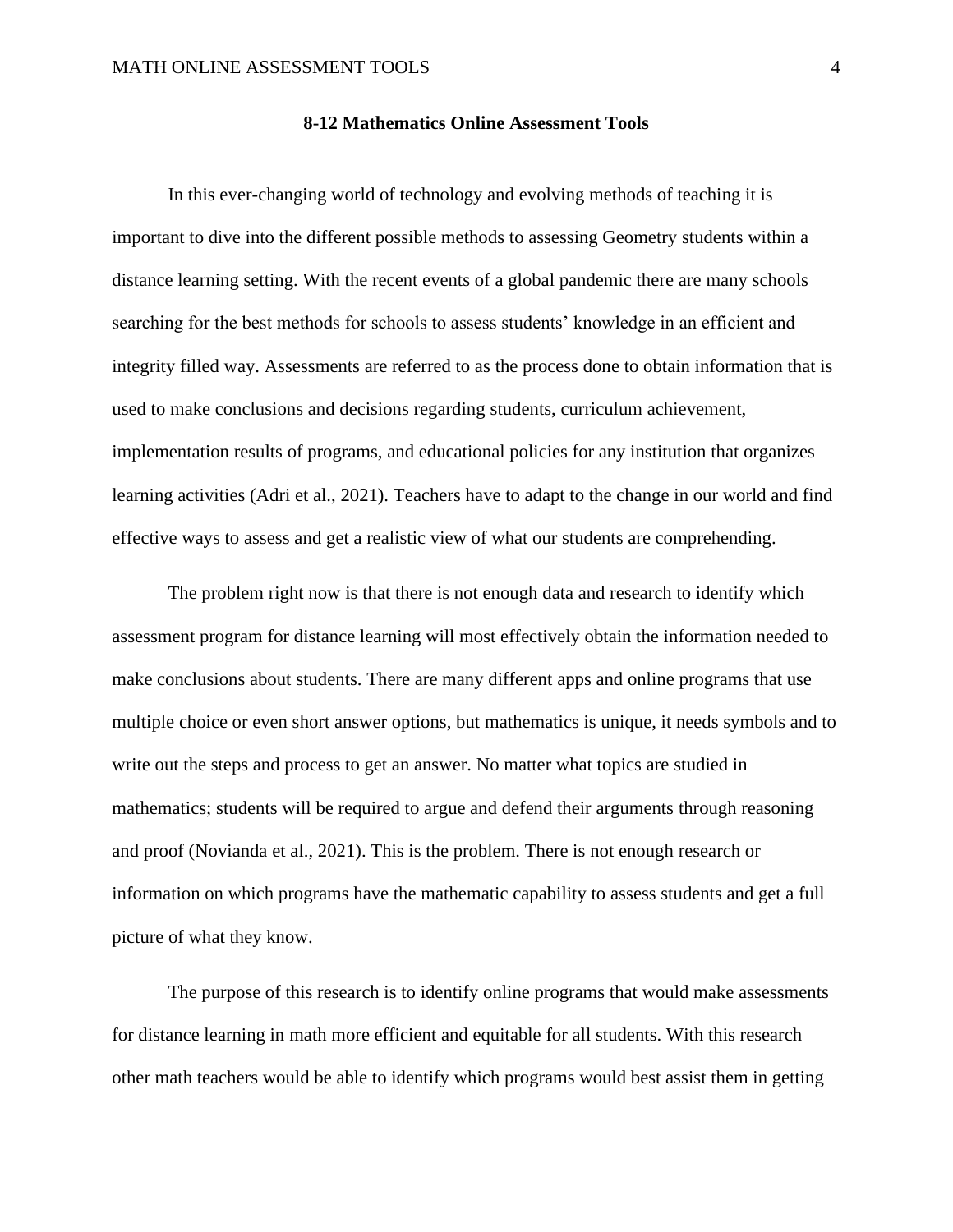In this ever-changing world of technology and evolving methods of teaching it is important to dive into the different possible methods to assessing Geometry students within a distance learning setting. With the recent events of a global pandemic there are many schools searching for the best methods for schools to assess students' knowledge in an efficient and integrity filled way. Assessments are referred to as the process done to obtain information that is used to make conclusions and decisions regarding students, curriculum achievement, implementation results of programs, and educational policies for any institution that organizes learning activities (Adri et al., 2021). Teachers have to adapt to the change in our world and find effective ways to assess and get a realistic view of what our students are comprehending.

The problem right now is that there is not enough data and research to identify which assessment program for distance learning will most effectively obtain the information needed to make conclusions about students. There are many different apps and online programs that use multiple choice or even short answer options, but mathematics is unique, it needs symbols and to write out the steps and process to get an answer. No matter what topics are studied in mathematics; students will be required to argue and defend their arguments through reasoning and proof (Novianda et al., 2021). This is the problem. There is not enough research or information on which programs have the mathematic capability to assess students and get a full picture of what they know.

The purpose of this research is to identify online programs that would make assessments for distance learning in math more efficient and equitable for all students. With this research other math teachers would be able to identify which programs would best assist them in getting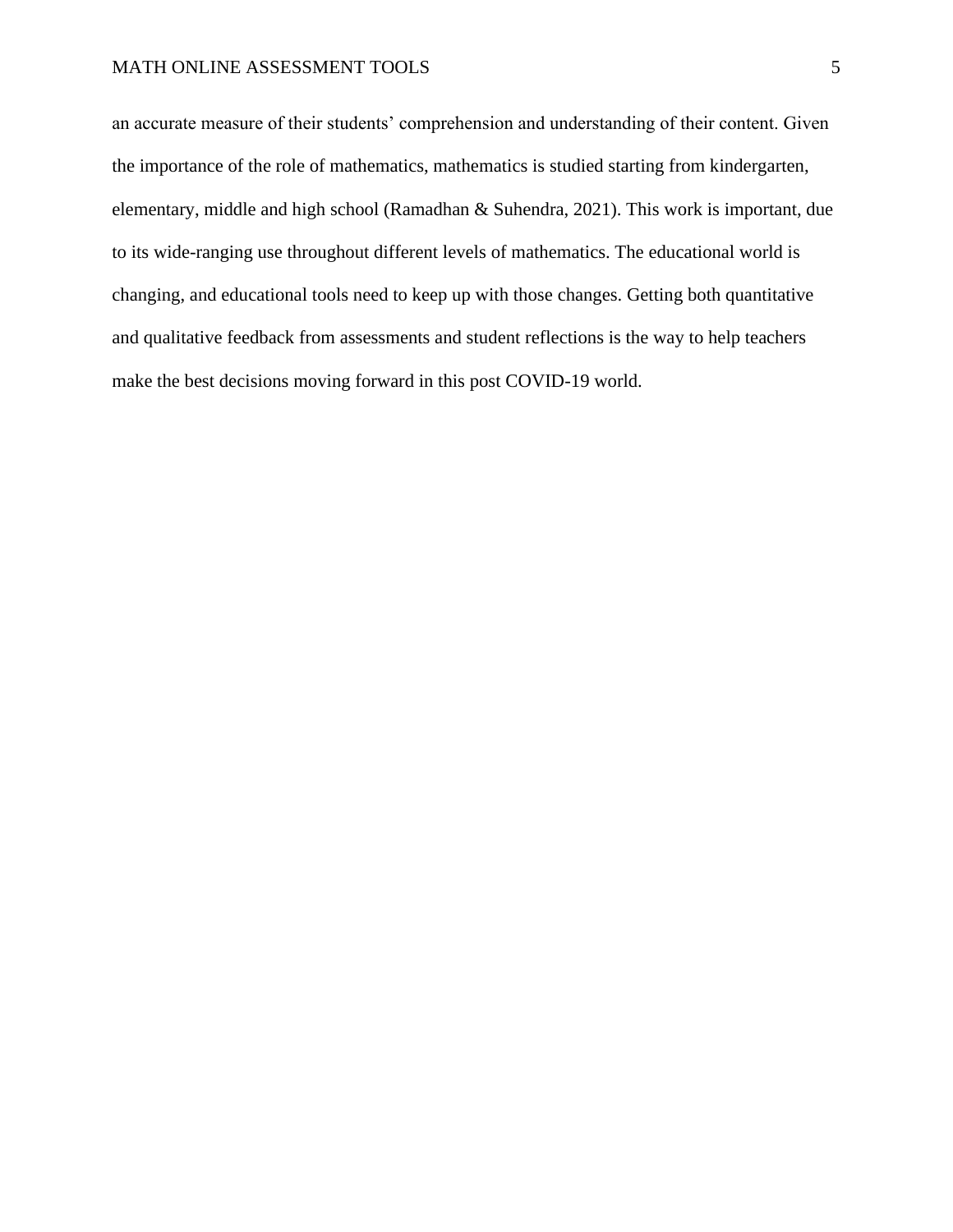#### MATH ONLINE ASSESSMENT TOOLS 5

an accurate measure of their students' comprehension and understanding of their content. Given the importance of the role of mathematics, mathematics is studied starting from kindergarten, elementary, middle and high school (Ramadhan & Suhendra, 2021). This work is important, due to its wide-ranging use throughout different levels of mathematics. The educational world is changing, and educational tools need to keep up with those changes. Getting both quantitative and qualitative feedback from assessments and student reflections is the way to help teachers make the best decisions moving forward in this post COVID-19 world.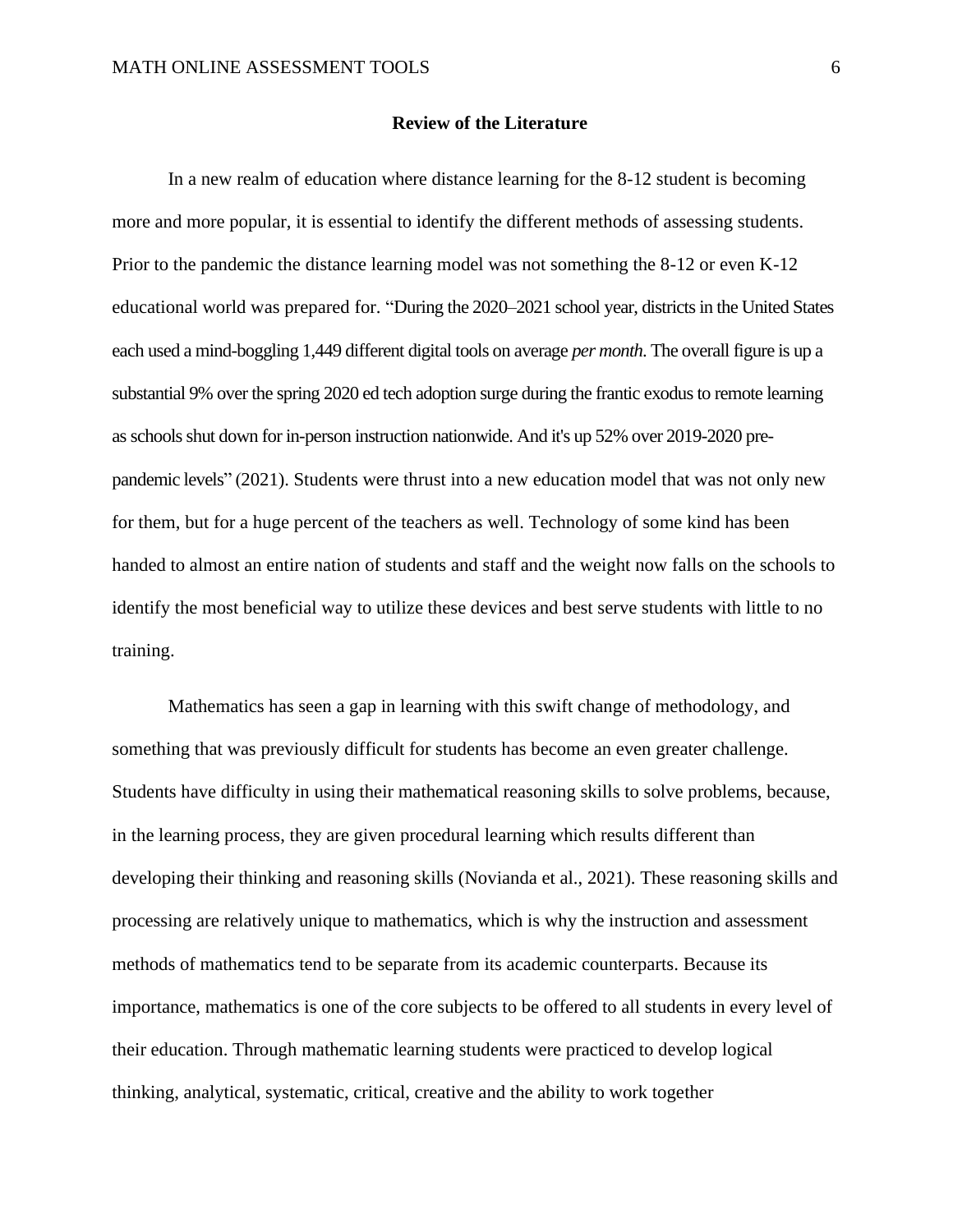#### **Review of the Literature**

In a new realm of education where distance learning for the 8-12 student is becoming more and more popular, it is essential to identify the different methods of assessing students. Prior to the pandemic the distance learning model was not something the 8-12 or even K-12 educational world was prepared for. "During the 2020–2021 school year, districts in the United States each used a mind-boggling 1,449 different digital tools on average *per month*. The overall figure is up a substantial 9% over the spring 2020 ed tech adoption surge during the frantic exodus to remote learning as schools shut down for in-person instruction nationwide. And it's up 52% over 2019-2020 prepandemic levels" (2021). Students were thrust into a new education model that was not only new for them, but for a huge percent of the teachers as well. Technology of some kind has been handed to almost an entire nation of students and staff and the weight now falls on the schools to identify the most beneficial way to utilize these devices and best serve students with little to no training.

Mathematics has seen a gap in learning with this swift change of methodology, and something that was previously difficult for students has become an even greater challenge. Students have difficulty in using their mathematical reasoning skills to solve problems, because, in the learning process, they are given procedural learning which results different than developing their thinking and reasoning skills (Novianda et al., 2021). These reasoning skills and processing are relatively unique to mathematics, which is why the instruction and assessment methods of mathematics tend to be separate from its academic counterparts. Because its importance, mathematics is one of the core subjects to be offered to all students in every level of their education. Through mathematic learning students were practiced to develop logical thinking, analytical, systematic, critical, creative and the ability to work together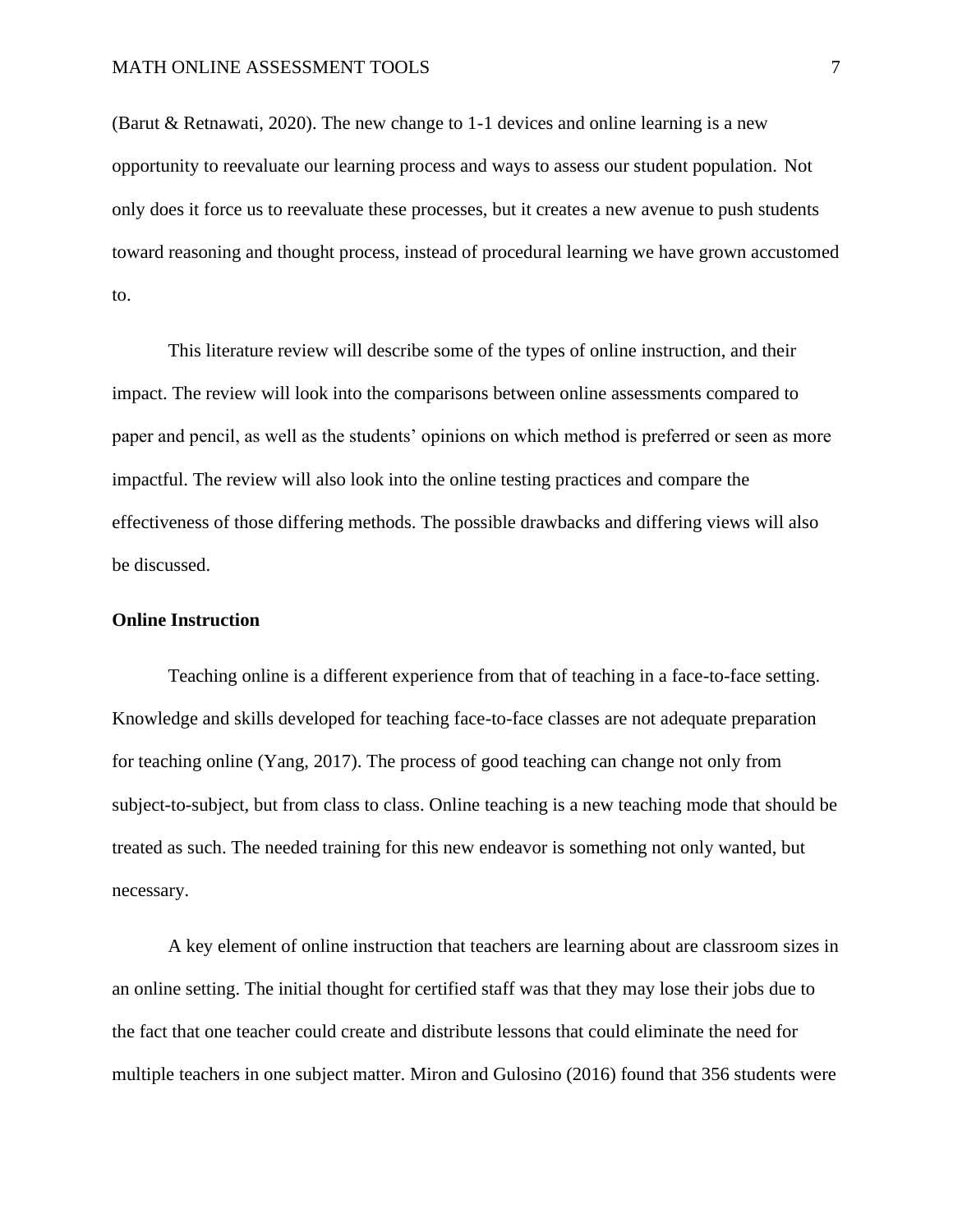#### MATH ONLINE ASSESSMENT TOOLS **7**

(Barut & Retnawati, 2020). The new change to 1-1 devices and online learning is a new opportunity to reevaluate our learning process and ways to assess our student population. Not only does it force us to reevaluate these processes, but it creates a new avenue to push students toward reasoning and thought process, instead of procedural learning we have grown accustomed to.

This literature review will describe some of the types of online instruction, and their impact. The review will look into the comparisons between online assessments compared to paper and pencil, as well as the students' opinions on which method is preferred or seen as more impactful. The review will also look into the online testing practices and compare the effectiveness of those differing methods. The possible drawbacks and differing views will also be discussed.

## **Online Instruction**

Teaching online is a different experience from that of teaching in a face-to-face setting. Knowledge and skills developed for teaching face-to-face classes are not adequate preparation for teaching online (Yang, 2017). The process of good teaching can change not only from subject-to-subject, but from class to class. Online teaching is a new teaching mode that should be treated as such. The needed training for this new endeavor is something not only wanted, but necessary.

A key element of online instruction that teachers are learning about are classroom sizes in an online setting. The initial thought for certified staff was that they may lose their jobs due to the fact that one teacher could create and distribute lessons that could eliminate the need for multiple teachers in one subject matter. Miron and Gulosino (2016) found that 356 students were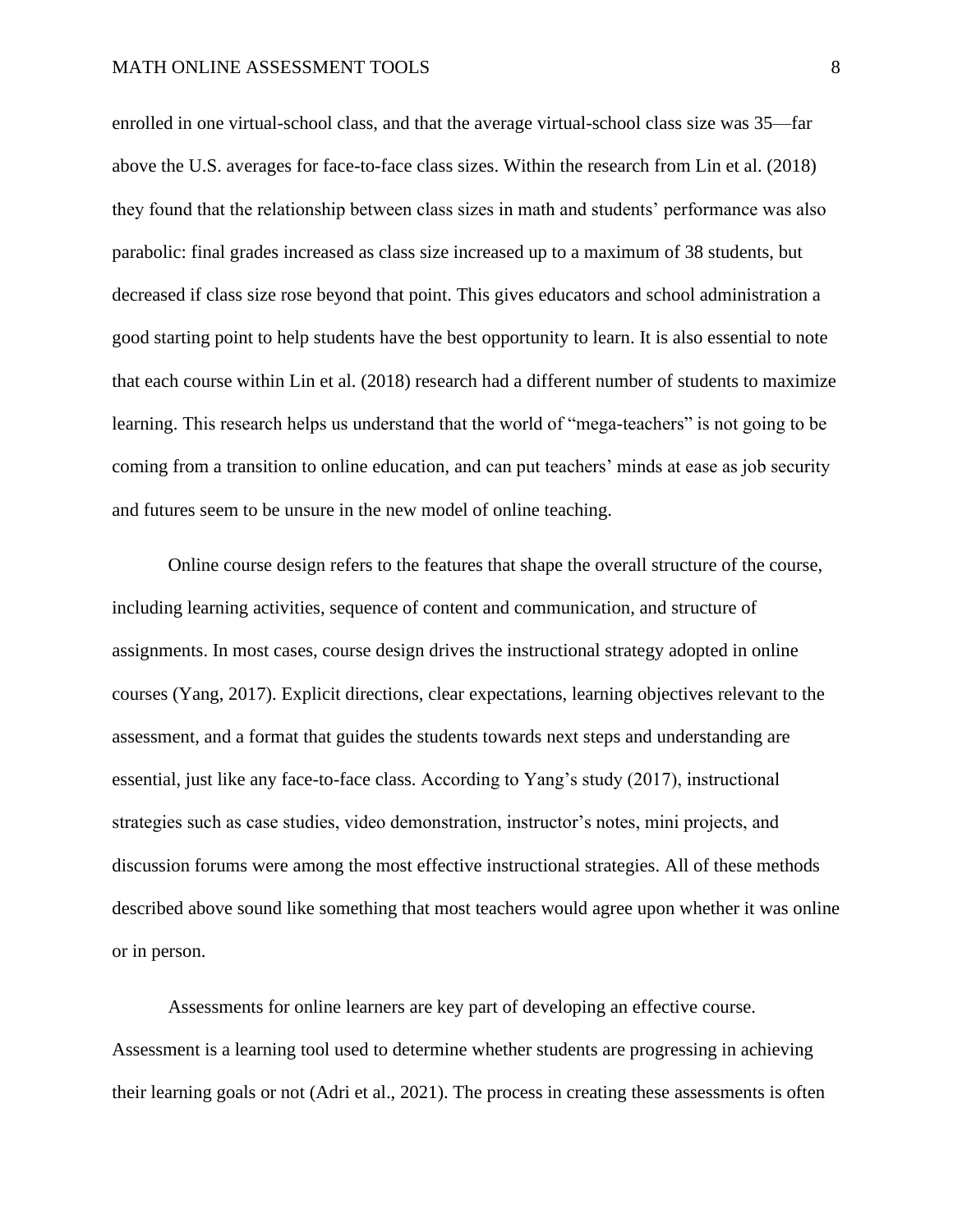enrolled in one virtual-school class, and that the average virtual-school class size was 35—far above the U.S. averages for face-to-face class sizes. Within the research from Lin et al. (2018) they found that the relationship between class sizes in math and students' performance was also parabolic: final grades increased as class size increased up to a maximum of 38 students, but decreased if class size rose beyond that point. This gives educators and school administration a good starting point to help students have the best opportunity to learn. It is also essential to note that each course within Lin et al. (2018) research had a different number of students to maximize learning. This research helps us understand that the world of "mega-teachers" is not going to be coming from a transition to online education, and can put teachers' minds at ease as job security and futures seem to be unsure in the new model of online teaching.

Online course design refers to the features that shape the overall structure of the course, including learning activities, sequence of content and communication, and structure of assignments. In most cases, course design drives the instructional strategy adopted in online courses (Yang, 2017). Explicit directions, clear expectations, learning objectives relevant to the assessment, and a format that guides the students towards next steps and understanding are essential, just like any face-to-face class. According to Yang's study (2017), instructional strategies such as case studies, video demonstration, instructor's notes, mini projects, and discussion forums were among the most effective instructional strategies. All of these methods described above sound like something that most teachers would agree upon whether it was online or in person.

Assessments for online learners are key part of developing an effective course. Assessment is a learning tool used to determine whether students are progressing in achieving their learning goals or not (Adri et al., 2021). The process in creating these assessments is often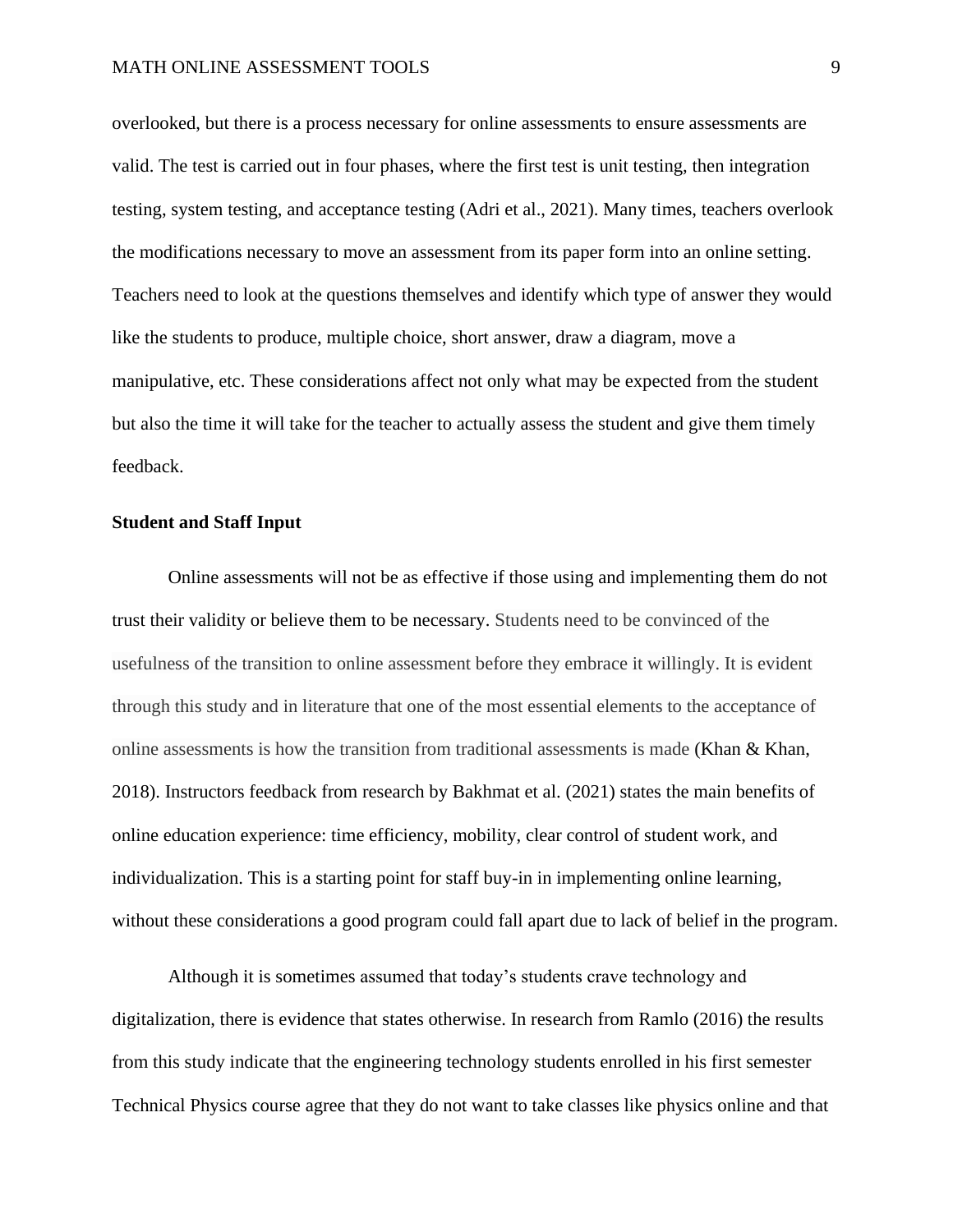#### MATH ONLINE ASSESSMENT TOOLS 9

overlooked, but there is a process necessary for online assessments to ensure assessments are valid. The test is carried out in four phases, where the first test is unit testing, then integration testing, system testing, and acceptance testing (Adri et al., 2021). Many times, teachers overlook the modifications necessary to move an assessment from its paper form into an online setting. Teachers need to look at the questions themselves and identify which type of answer they would like the students to produce, multiple choice, short answer, draw a diagram, move a manipulative, etc. These considerations affect not only what may be expected from the student but also the time it will take for the teacher to actually assess the student and give them timely feedback.

## **Student and Staff Input**

Online assessments will not be as effective if those using and implementing them do not trust their validity or believe them to be necessary. Students need to be convinced of the usefulness of the transition to online assessment before they embrace it willingly. It is evident through this study and in literature that one of the most essential elements to the acceptance of online assessments is how the transition from traditional assessments is made (Khan  $\&$  Khan, 2018). Instructors feedback from research by Bakhmat et al. (2021) states the main benefits of online education experience: time efficiency, mobility, clear control of student work, and individualization. This is a starting point for staff buy-in in implementing online learning, without these considerations a good program could fall apart due to lack of belief in the program.

Although it is sometimes assumed that today's students crave technology and digitalization, there is evidence that states otherwise. In research from Ramlo (2016) the results from this study indicate that the engineering technology students enrolled in his first semester Technical Physics course agree that they do not want to take classes like physics online and that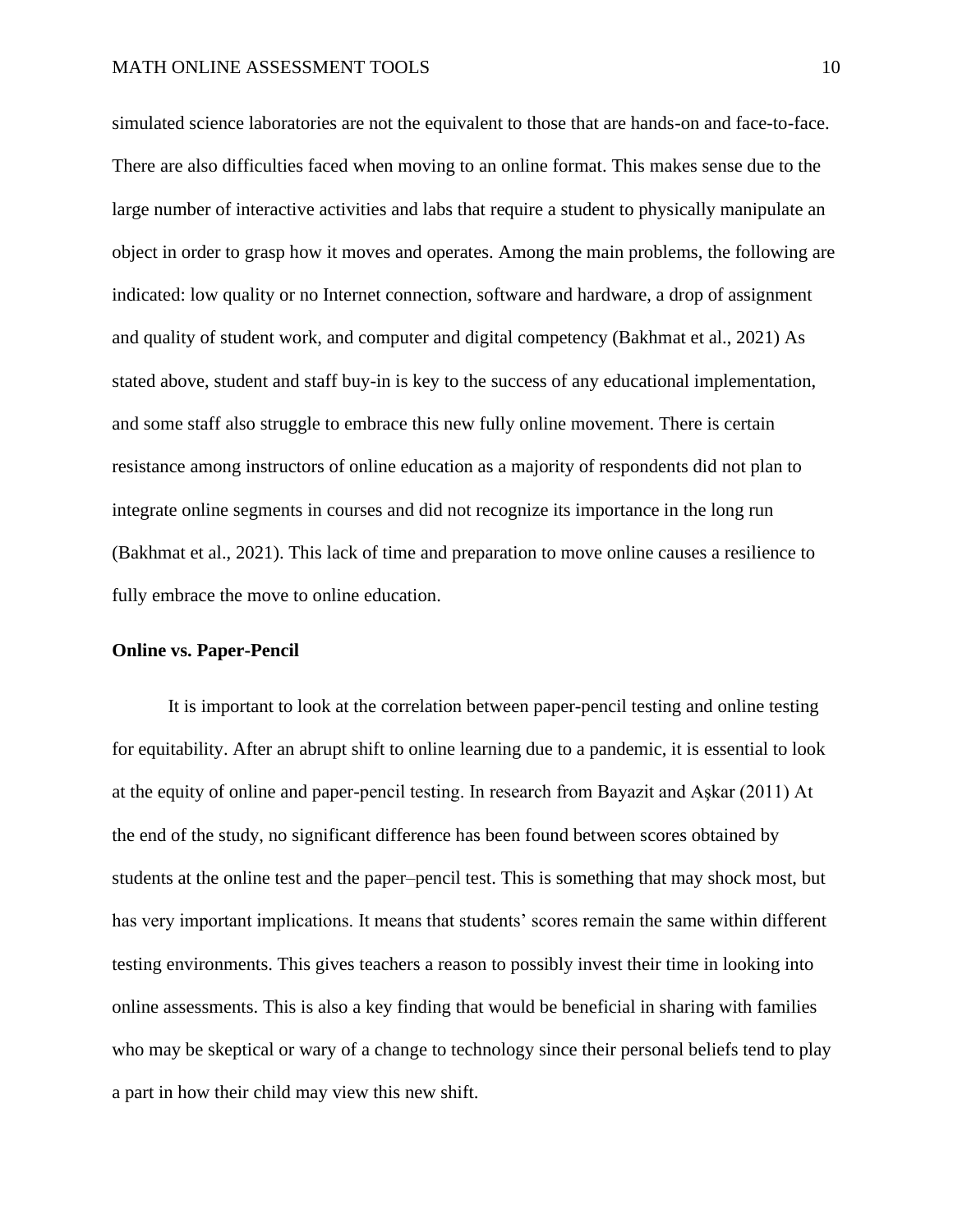simulated science laboratories are not the equivalent to those that are hands-on and face-to-face. There are also difficulties faced when moving to an online format. This makes sense due to the large number of interactive activities and labs that require a student to physically manipulate an object in order to grasp how it moves and operates. Among the main problems, the following are indicated: low quality or no Internet connection, software and hardware, a drop of assignment and quality of student work, and computer and digital competency (Bakhmat et al., 2021) As stated above, student and staff buy-in is key to the success of any educational implementation, and some staff also struggle to embrace this new fully online movement. There is certain resistance among instructors of online education as a majority of respondents did not plan to integrate online segments in courses and did not recognize its importance in the long run (Bakhmat et al., 2021). This lack of time and preparation to move online causes a resilience to fully embrace the move to online education.

## **Online vs. Paper-Pencil**

It is important to look at the correlation between paper-pencil testing and online testing for equitability. After an abrupt shift to online learning due to a pandemic, it is essential to look at the equity of online and paper-pencil testing. In research from Bayazit and Aşkar (2011) At the end of the study, no significant difference has been found between scores obtained by students at the online test and the paper–pencil test. This is something that may shock most, but has very important implications. It means that students' scores remain the same within different testing environments. This gives teachers a reason to possibly invest their time in looking into online assessments. This is also a key finding that would be beneficial in sharing with families who may be skeptical or wary of a change to technology since their personal beliefs tend to play a part in how their child may view this new shift.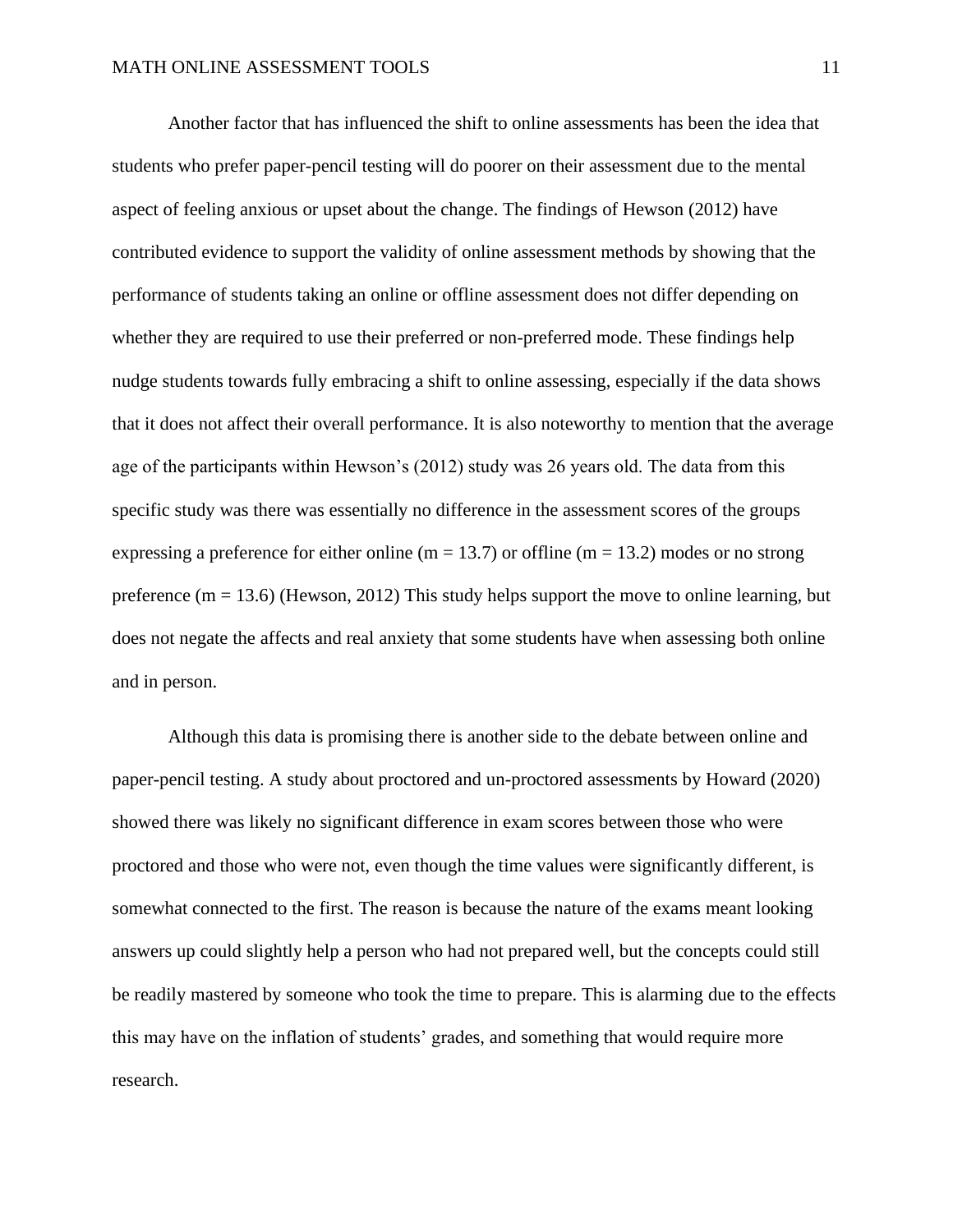Another factor that has influenced the shift to online assessments has been the idea that students who prefer paper-pencil testing will do poorer on their assessment due to the mental aspect of feeling anxious or upset about the change. The findings of Hewson (2012) have contributed evidence to support the validity of online assessment methods by showing that the performance of students taking an online or offline assessment does not differ depending on whether they are required to use their preferred or non-preferred mode. These findings help nudge students towards fully embracing a shift to online assessing, especially if the data shows that it does not affect their overall performance. It is also noteworthy to mention that the average age of the participants within Hewson's (2012) study was 26 years old. The data from this specific study was there was essentially no difference in the assessment scores of the groups expressing a preference for either online (m = 13.7) or offline (m = 13.2) modes or no strong preference  $(m = 13.6)$  (Hewson, 2012) This study helps support the move to online learning, but does not negate the affects and real anxiety that some students have when assessing both online and in person.

Although this data is promising there is another side to the debate between online and paper-pencil testing. A study about proctored and un-proctored assessments by Howard (2020) showed there was likely no significant difference in exam scores between those who were proctored and those who were not, even though the time values were significantly different, is somewhat connected to the first. The reason is because the nature of the exams meant looking answers up could slightly help a person who had not prepared well, but the concepts could still be readily mastered by someone who took the time to prepare. This is alarming due to the effects this may have on the inflation of students' grades, and something that would require more research.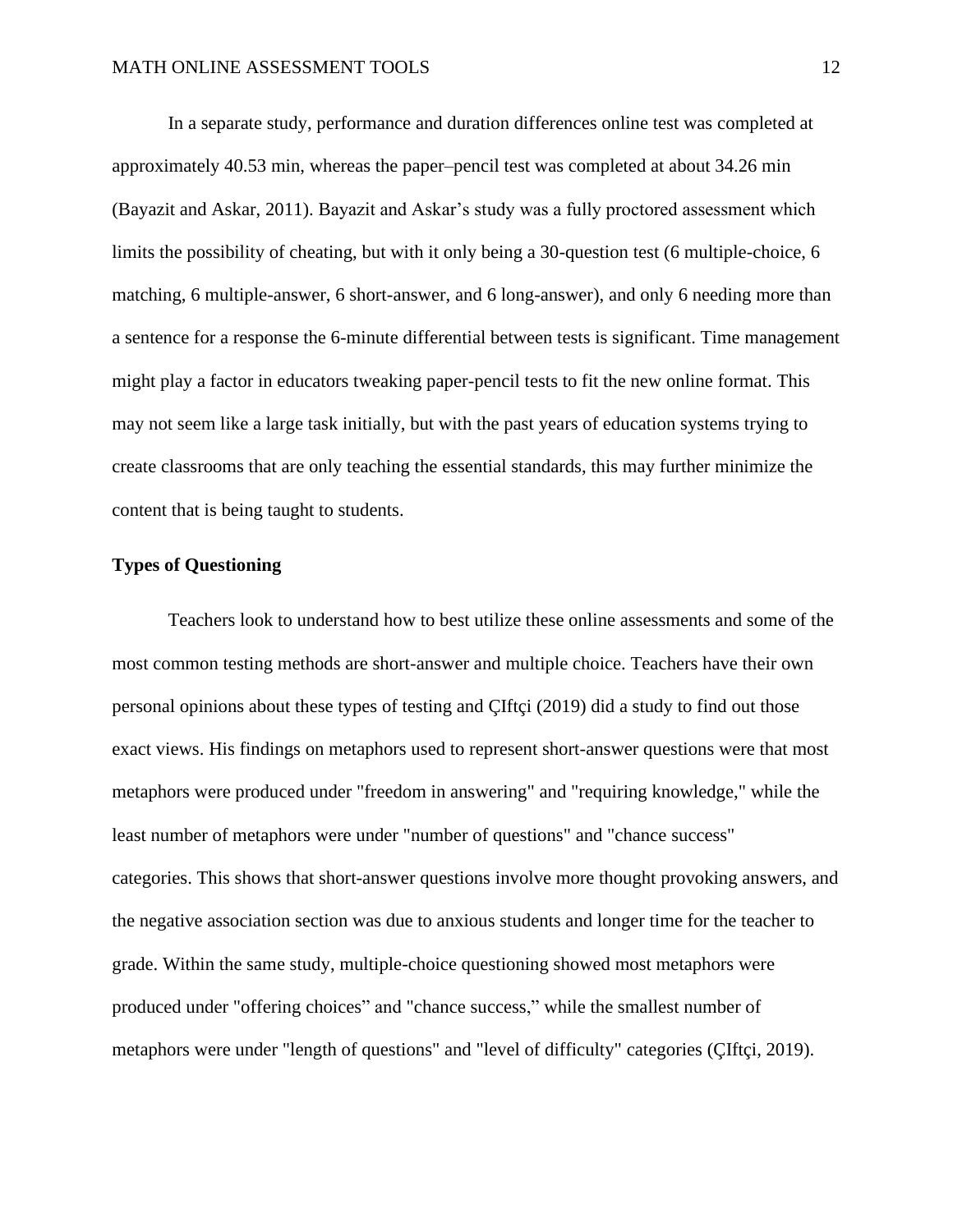In a separate study, performance and duration differences online test was completed at approximately 40.53 min, whereas the paper–pencil test was completed at about 34.26 min (Bayazit and Askar, 2011). Bayazit and Askar's study was a fully proctored assessment which limits the possibility of cheating, but with it only being a 30-question test (6 multiple-choice, 6 matching, 6 multiple-answer, 6 short-answer, and 6 long-answer), and only 6 needing more than a sentence for a response the 6-minute differential between tests is significant. Time management might play a factor in educators tweaking paper-pencil tests to fit the new online format. This may not seem like a large task initially, but with the past years of education systems trying to create classrooms that are only teaching the essential standards, this may further minimize the content that is being taught to students.

## **Types of Questioning**

Teachers look to understand how to best utilize these online assessments and some of the most common testing methods are short-answer and multiple choice. Teachers have their own personal opinions about these types of testing and ÇIftçi (2019) did a study to find out those exact views. His findings on metaphors used to represent short-answer questions were that most metaphors were produced under "freedom in answering" and "requiring knowledge," while the least number of metaphors were under "number of questions" and "chance success" categories. This shows that short-answer questions involve more thought provoking answers, and the negative association section was due to anxious students and longer time for the teacher to grade. Within the same study, multiple-choice questioning showed most metaphors were produced under "offering choices" and "chance success," while the smallest number of metaphors were under "length of questions" and "level of difficulty" categories (ÇIftçi, 2019).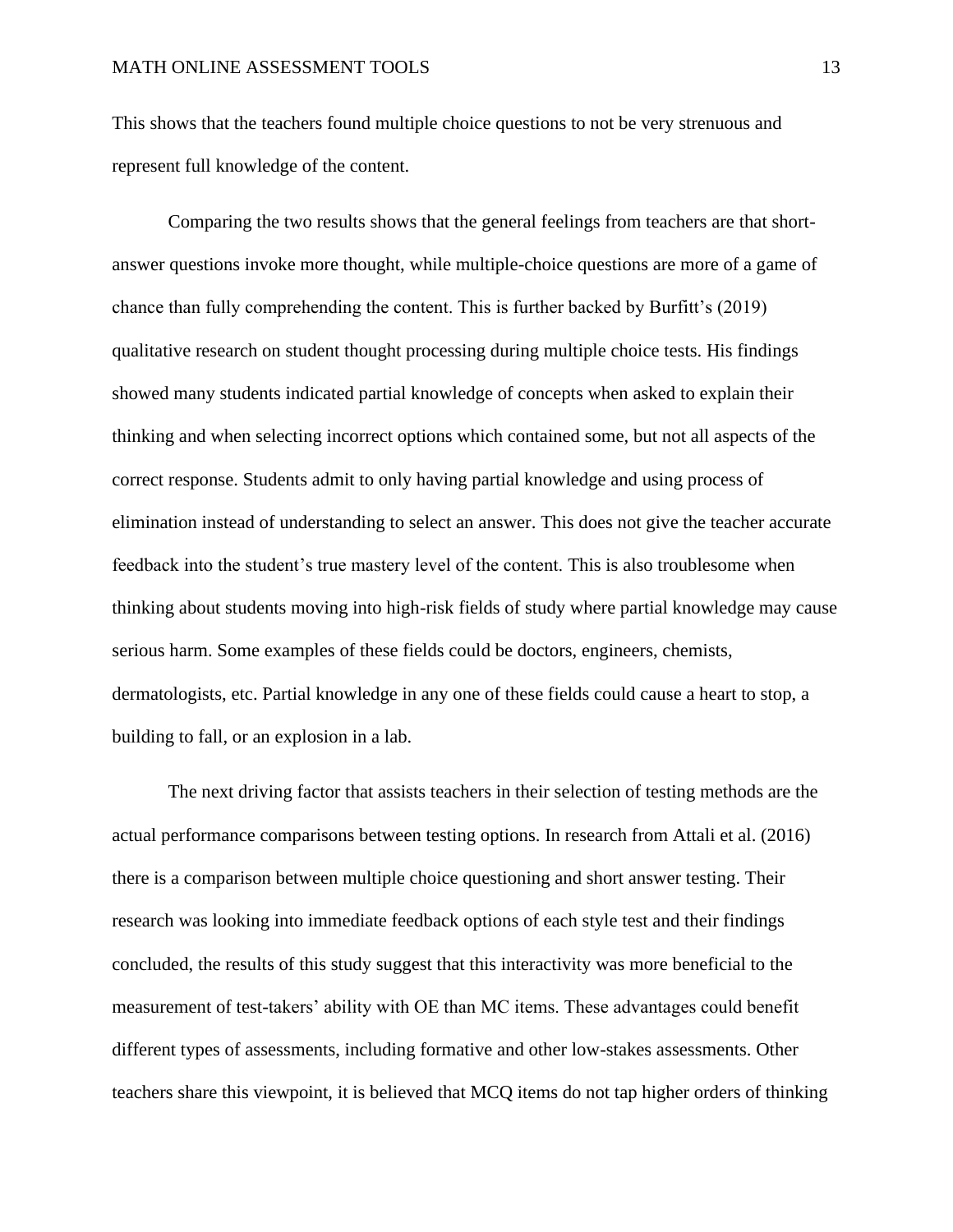This shows that the teachers found multiple choice questions to not be very strenuous and represent full knowledge of the content.

Comparing the two results shows that the general feelings from teachers are that shortanswer questions invoke more thought, while multiple-choice questions are more of a game of chance than fully comprehending the content. This is further backed by Burfitt's (2019) qualitative research on student thought processing during multiple choice tests. His findings showed many students indicated partial knowledge of concepts when asked to explain their thinking and when selecting incorrect options which contained some, but not all aspects of the correct response. Students admit to only having partial knowledge and using process of elimination instead of understanding to select an answer. This does not give the teacher accurate feedback into the student's true mastery level of the content. This is also troublesome when thinking about students moving into high-risk fields of study where partial knowledge may cause serious harm. Some examples of these fields could be doctors, engineers, chemists, dermatologists, etc. Partial knowledge in any one of these fields could cause a heart to stop, a building to fall, or an explosion in a lab.

The next driving factor that assists teachers in their selection of testing methods are the actual performance comparisons between testing options. In research from Attali et al. (2016) there is a comparison between multiple choice questioning and short answer testing. Their research was looking into immediate feedback options of each style test and their findings concluded, the results of this study suggest that this interactivity was more beneficial to the measurement of test-takers' ability with OE than MC items. These advantages could benefit different types of assessments, including formative and other low-stakes assessments. Other teachers share this viewpoint, it is believed that MCQ items do not tap higher orders of thinking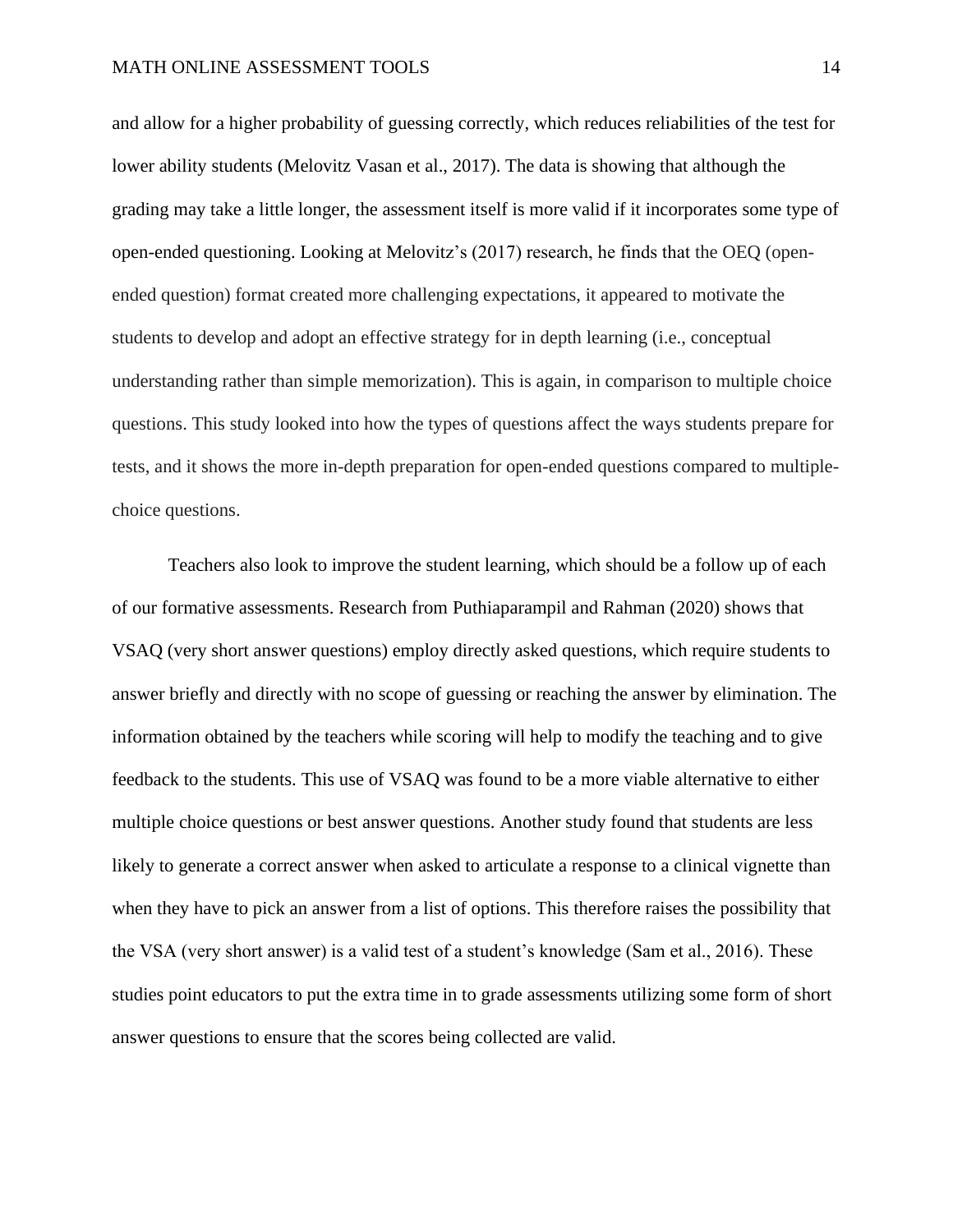and allow for a higher probability of guessing correctly, which reduces reliabilities of the test for lower ability students (Melovitz Vasan et al., 2017). The data is showing that although the grading may take a little longer, the assessment itself is more valid if it incorporates some type of open-ended questioning. Looking at Melovitz's (2017) research, he finds that the OEQ (openended question) format created more challenging expectations, it appeared to motivate the students to develop and adopt an effective strategy for in depth learning (i.e., conceptual understanding rather than simple memorization). This is again, in comparison to multiple choice questions. This study looked into how the types of questions affect the ways students prepare for tests, and it shows the more in-depth preparation for open-ended questions compared to multiplechoice questions.

Teachers also look to improve the student learning, which should be a follow up of each of our formative assessments. Research from Puthiaparampil and Rahman (2020) shows that VSAQ (very short answer questions) employ directly asked questions, which require students to answer briefly and directly with no scope of guessing or reaching the answer by elimination. The information obtained by the teachers while scoring will help to modify the teaching and to give feedback to the students. This use of VSAQ was found to be a more viable alternative to either multiple choice questions or best answer questions. Another study found that students are less likely to generate a correct answer when asked to articulate a response to a clinical vignette than when they have to pick an answer from a list of options. This therefore raises the possibility that the VSA (very short answer) is a valid test of a student's knowledge (Sam et al., 2016). These studies point educators to put the extra time in to grade assessments utilizing some form of short answer questions to ensure that the scores being collected are valid.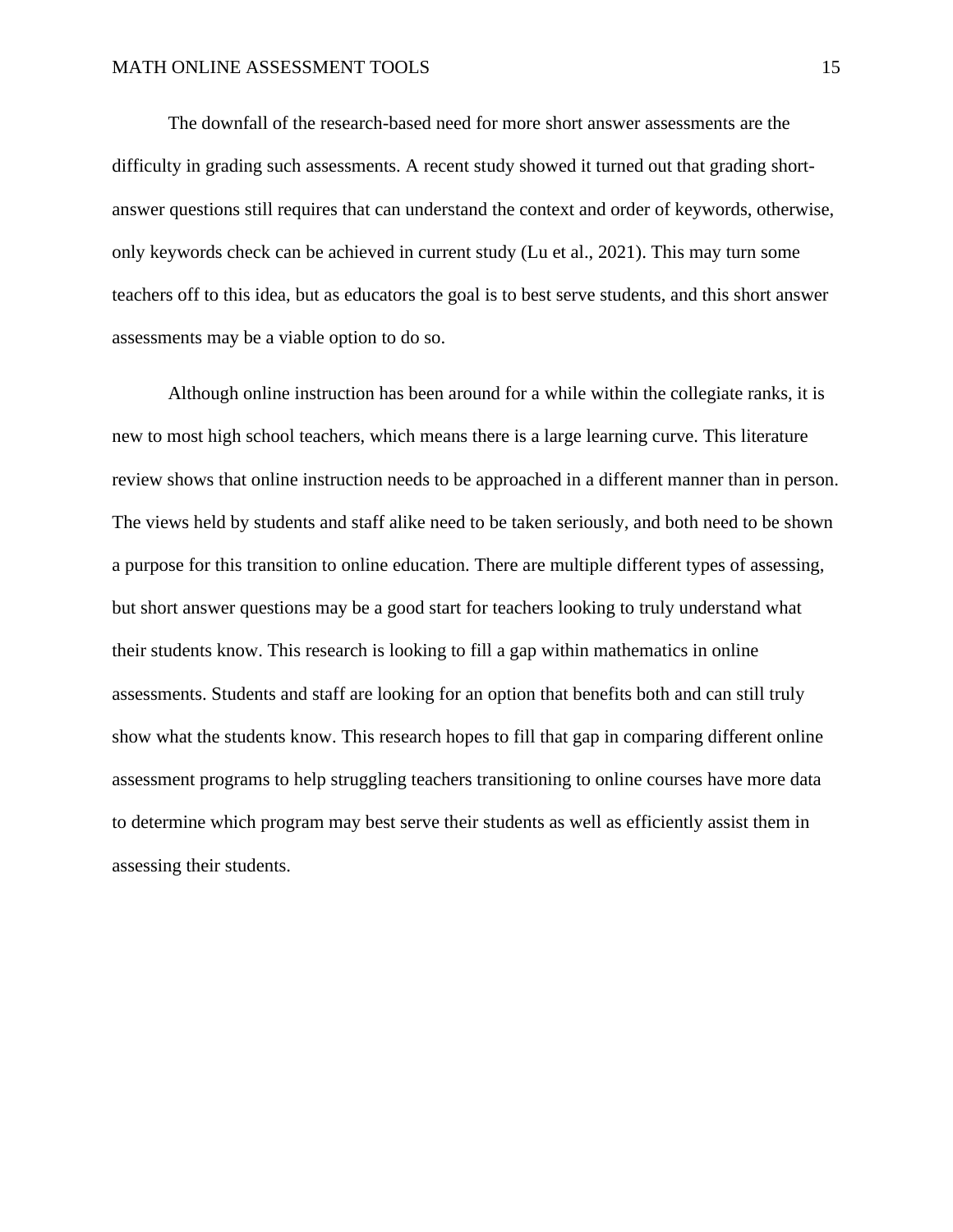The downfall of the research-based need for more short answer assessments are the difficulty in grading such assessments. A recent study showed it turned out that grading shortanswer questions still requires that can understand the context and order of keywords, otherwise, only keywords check can be achieved in current study (Lu et al., 2021). This may turn some teachers off to this idea, but as educators the goal is to best serve students, and this short answer assessments may be a viable option to do so.

Although online instruction has been around for a while within the collegiate ranks, it is new to most high school teachers, which means there is a large learning curve. This literature review shows that online instruction needs to be approached in a different manner than in person. The views held by students and staff alike need to be taken seriously, and both need to be shown a purpose for this transition to online education. There are multiple different types of assessing, but short answer questions may be a good start for teachers looking to truly understand what their students know. This research is looking to fill a gap within mathematics in online assessments. Students and staff are looking for an option that benefits both and can still truly show what the students know. This research hopes to fill that gap in comparing different online assessment programs to help struggling teachers transitioning to online courses have more data to determine which program may best serve their students as well as efficiently assist them in assessing their students.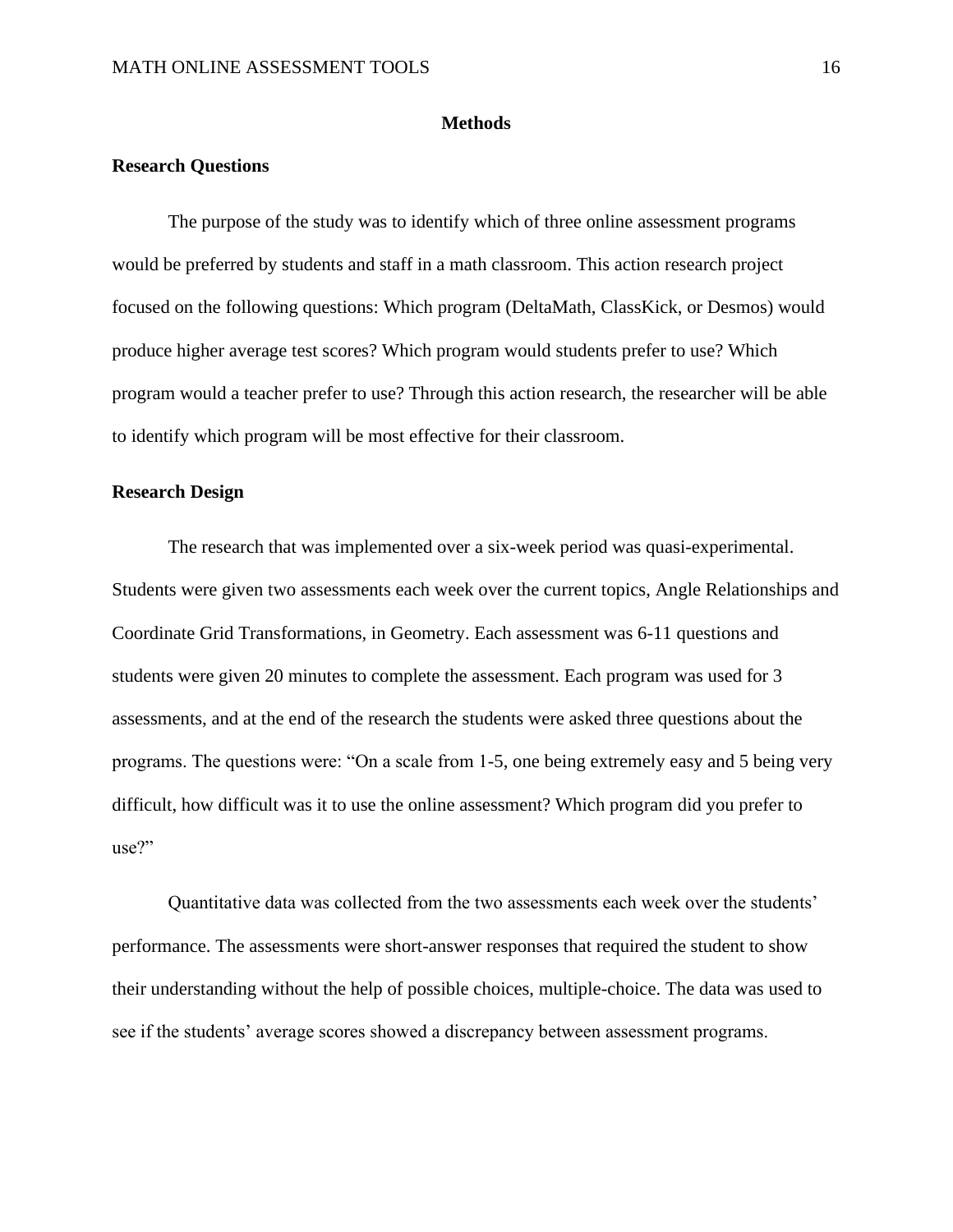#### **Methods**

## <span id="page-16-0"></span>**Research Questions**

The purpose of the study was to identify which of three online assessment programs would be preferred by students and staff in a math classroom. This action research project focused on the following questions: Which program (DeltaMath, ClassKick, or Desmos) would produce higher average test scores? Which program would students prefer to use? Which program would a teacher prefer to use? Through this action research, the researcher will be able to identify which program will be most effective for their classroom.

## **Research Design**

The research that was implemented over a six-week period was quasi-experimental. Students were given two assessments each week over the current topics, Angle Relationships and Coordinate Grid Transformations, in Geometry. Each assessment was 6-11 questions and students were given 20 minutes to complete the assessment. Each program was used for 3 assessments, and at the end of the research the students were asked three questions about the programs. The questions were: "On a scale from 1-5, one being extremely easy and 5 being very difficult, how difficult was it to use the online assessment? Which program did you prefer to use?"

Quantitative data was collected from the two assessments each week over the students' performance. The assessments were short-answer responses that required the student to show their understanding without the help of possible choices, multiple-choice. The data was used to see if the students' average scores showed a discrepancy between assessment programs.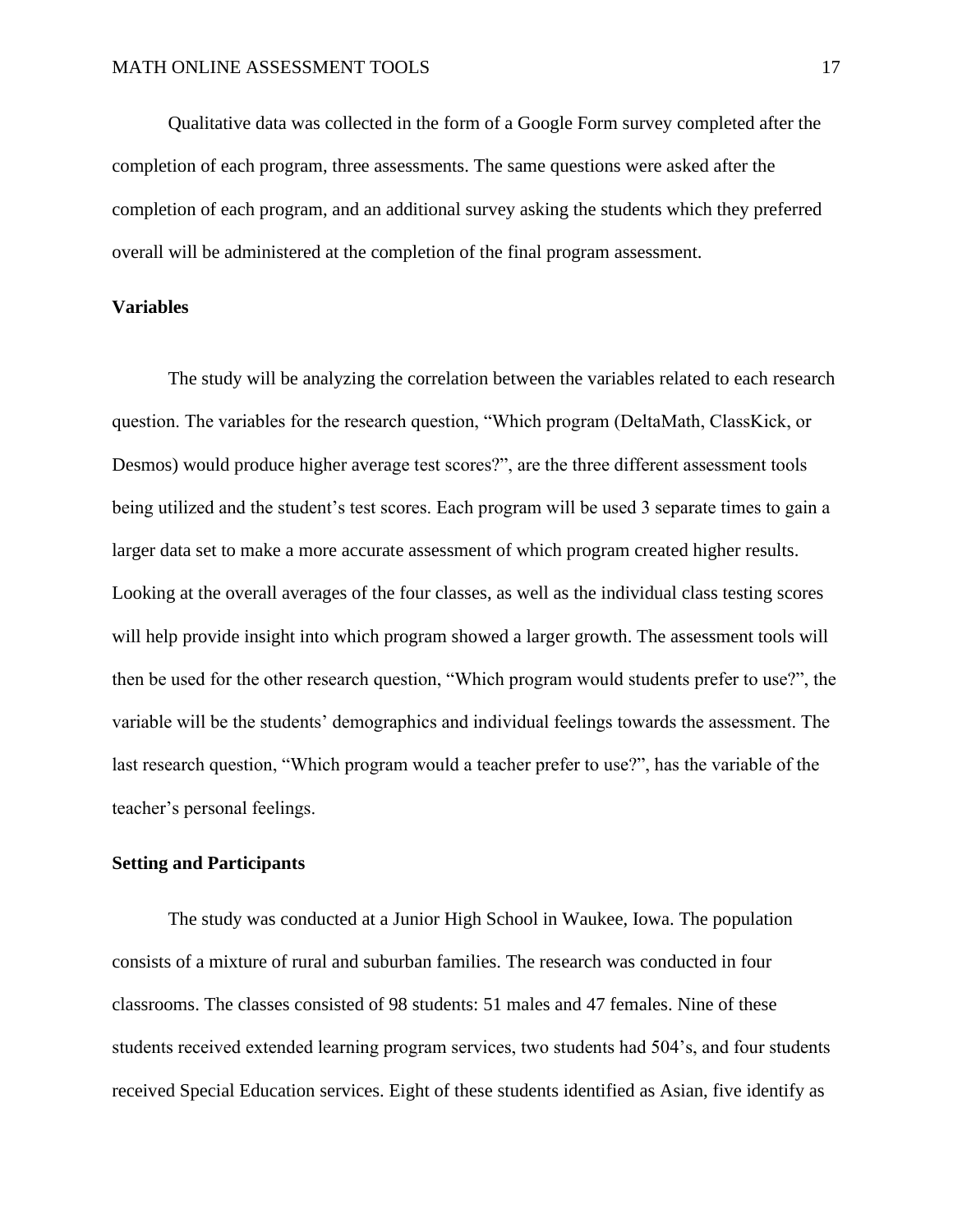Qualitative data was collected in the form of a Google Form survey completed after the completion of each program, three assessments. The same questions were asked after the completion of each program, and an additional survey asking the students which they preferred overall will be administered at the completion of the final program assessment.

### **Variables**

The study will be analyzing the correlation between the variables related to each research question. The variables for the research question, "Which program (DeltaMath, ClassKick, or Desmos) would produce higher average test scores?", are the three different assessment tools being utilized and the student's test scores. Each program will be used 3 separate times to gain a larger data set to make a more accurate assessment of which program created higher results. Looking at the overall averages of the four classes, as well as the individual class testing scores will help provide insight into which program showed a larger growth. The assessment tools will then be used for the other research question, "Which program would students prefer to use?", the variable will be the students' demographics and individual feelings towards the assessment. The last research question, "Which program would a teacher prefer to use?", has the variable of the teacher's personal feelings.

## **Setting and Participants**

The study was conducted at a Junior High School in Waukee, Iowa. The population consists of a mixture of rural and suburban families. The research was conducted in four classrooms. The classes consisted of 98 students: 51 males and 47 females. Nine of these students received extended learning program services, two students had 504's, and four students received Special Education services. Eight of these students identified as Asian, five identify as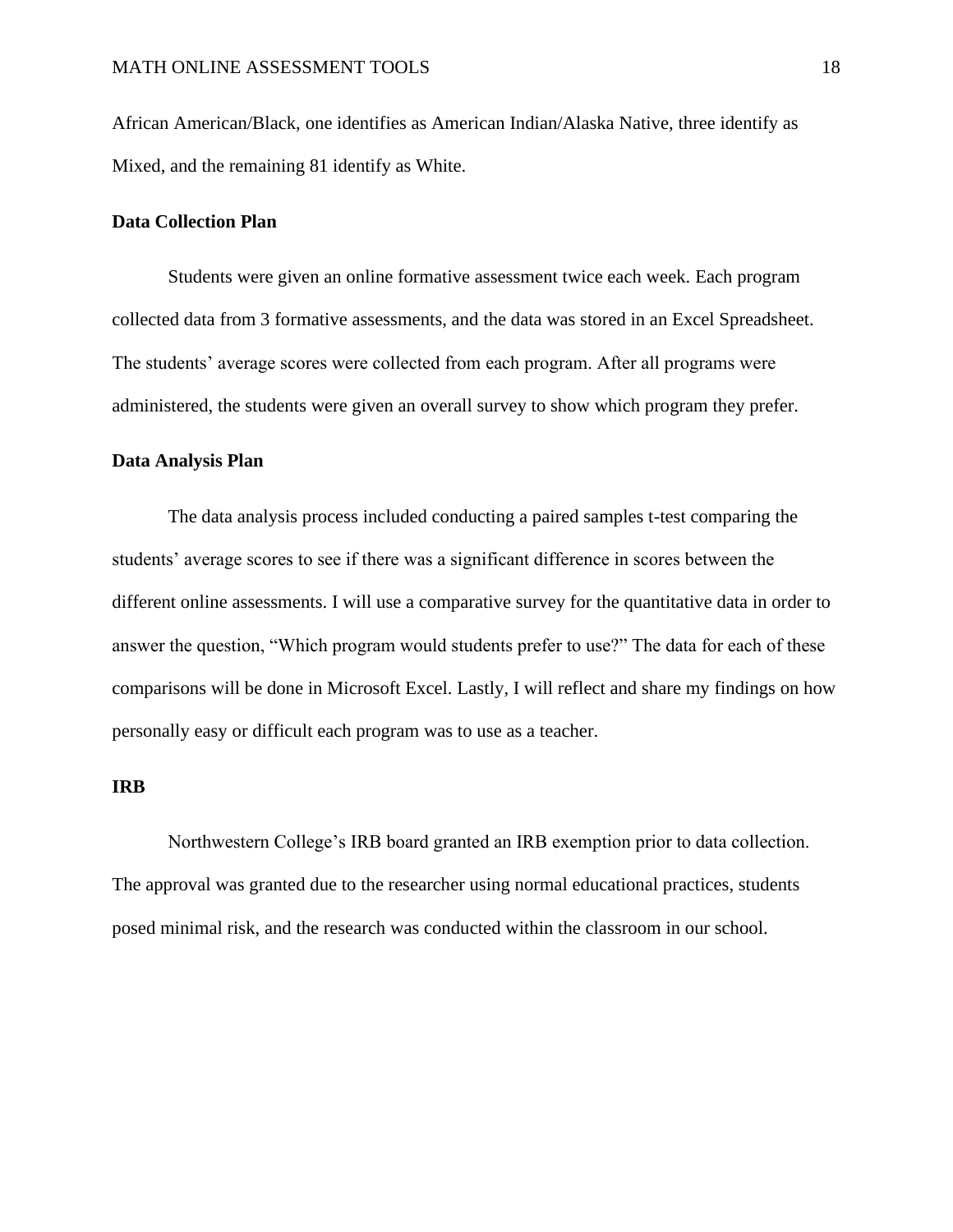African American/Black, one identifies as American Indian/Alaska Native, three identify as Mixed, and the remaining 81 identify as White.

## **Data Collection Plan**

Students were given an online formative assessment twice each week. Each program collected data from 3 formative assessments, and the data was stored in an Excel Spreadsheet. The students' average scores were collected from each program. After all programs were administered, the students were given an overall survey to show which program they prefer.

## **Data Analysis Plan**

The data analysis process included conducting a paired samples t-test comparing the students' average scores to see if there was a significant difference in scores between the different online assessments. I will use a comparative survey for the quantitative data in order to answer the question, "Which program would students prefer to use?" The data for each of these comparisons will be done in Microsoft Excel. Lastly, I will reflect and share my findings on how personally easy or difficult each program was to use as a teacher.

#### **IRB**

Northwestern College's IRB board granted an IRB exemption prior to data collection. The approval was granted due to the researcher using normal educational practices, students posed minimal risk, and the research was conducted within the classroom in our school.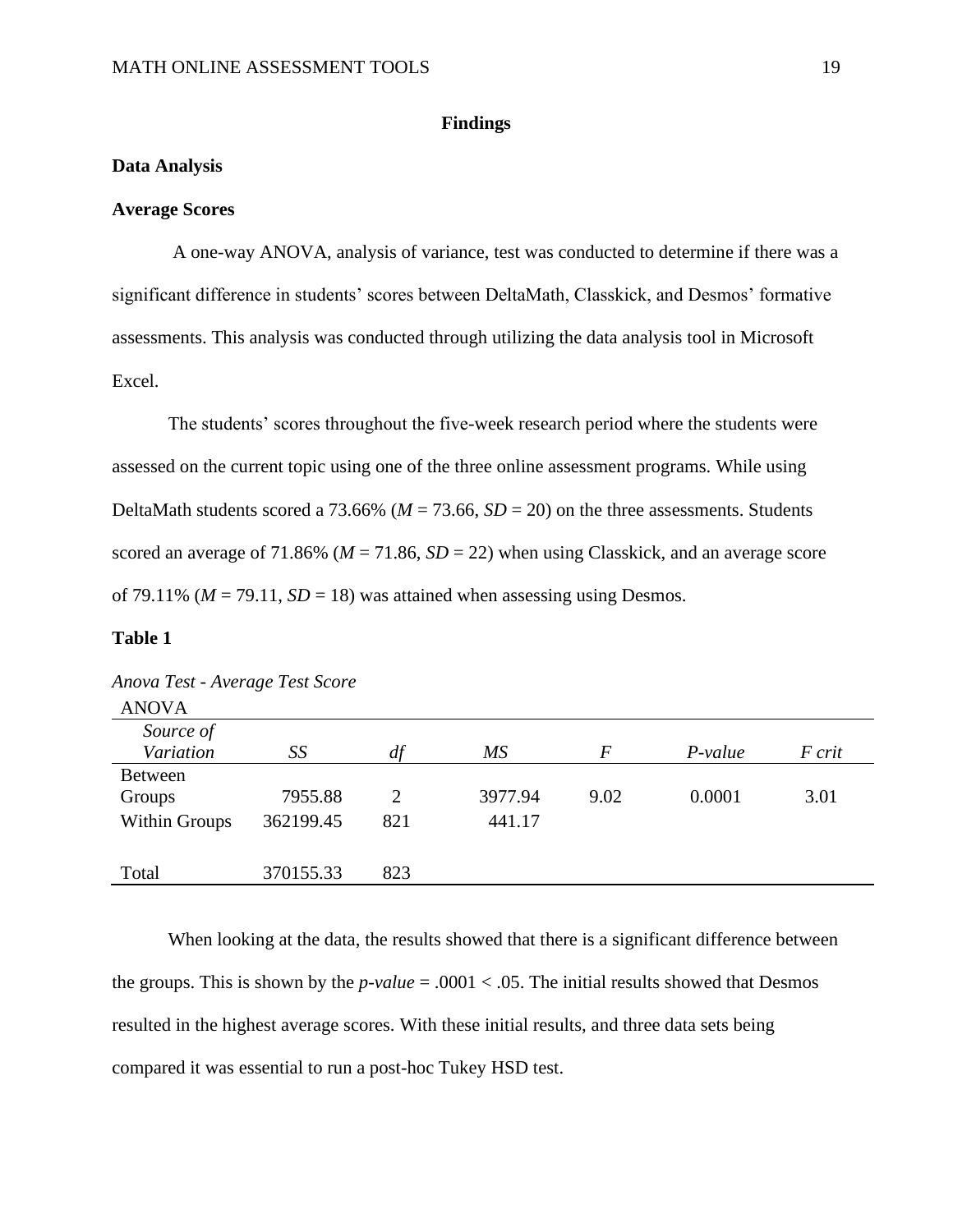## **Findings**

## <span id="page-19-1"></span><span id="page-19-0"></span>**Data Analysis**

## **Average Scores**

A one-way ANOVA, analysis of variance, test was conducted to determine if there was a significant difference in students' scores between DeltaMath, Classkick, and Desmos' formative assessments. This analysis was conducted through utilizing the data analysis tool in Microsoft Excel.

The students' scores throughout the five-week research period where the students were assessed on the current topic using one of the three online assessment programs. While using DeltaMath students scored a 73.66% ( $M = 73.66$ ,  $SD = 20$ ) on the three assessments. Students scored an average of 71.86% ( $M = 71.86$ ,  $SD = 22$ ) when using Classkick, and an average score of 79.11% ( $M = 79.11$ ,  $SD = 18$ ) was attained when assessing using Desmos.

## **Table 1**

| <b>ANOVA</b>   |           |     |         |                  |           |        |
|----------------|-----------|-----|---------|------------------|-----------|--------|
| Source of      |           |     |         |                  |           |        |
| Variation      | SS        | df  | МS      | $\boldsymbol{F}$ | $P-value$ | F crit |
| <b>Between</b> |           |     |         |                  |           |        |
| Groups         | 7955.88   | 2   | 3977.94 | 9.02             | 0.0001    | 3.01   |
| Within Groups  | 362199.45 | 821 | 441.17  |                  |           |        |
|                |           |     |         |                  |           |        |
| Total          | 370155.33 | 823 |         |                  |           |        |

|  | Anova Test - Average Test Score |  |
|--|---------------------------------|--|

When looking at the data, the results showed that there is a significant difference between the groups. This is shown by the  $p$ -value = .0001 < .05. The initial results showed that Desmos resulted in the highest average scores. With these initial results, and three data sets being compared it was essential to run a post-hoc Tukey HSD test.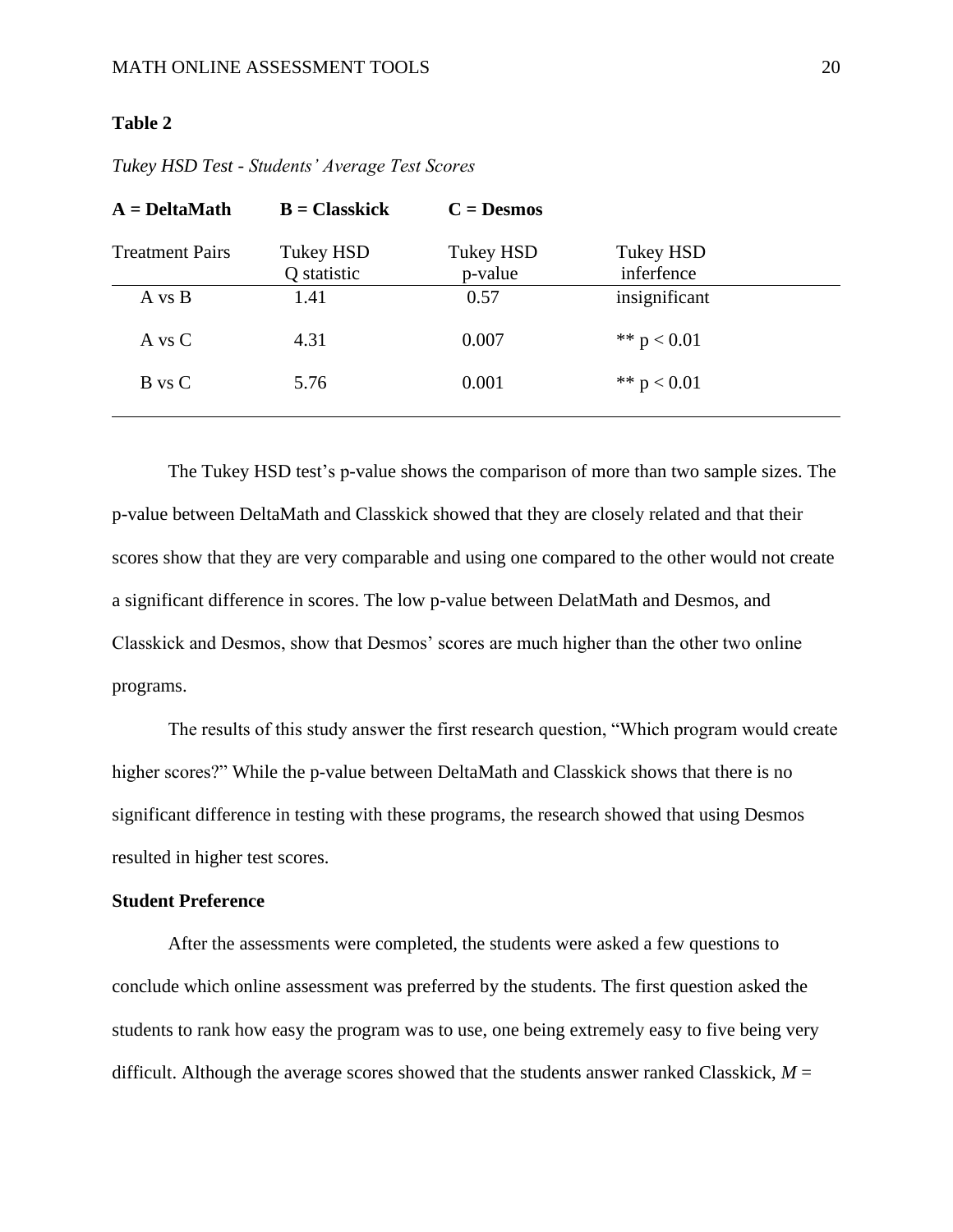## **Table 2**

| $A = \text{DeltaMath}$ | $B = Classkick$                 | $C = Desmos$                |                                |  |
|------------------------|---------------------------------|-----------------------------|--------------------------------|--|
| <b>Treatment Pairs</b> | <b>Tukey HSD</b><br>Q statistic | <b>Tukey HSD</b><br>p-value | <b>Tukey HSD</b><br>inferfence |  |
| A vs B                 | 1.41                            | 0.57                        | insignificant                  |  |
| A vs C                 | 4.31                            | 0.007                       | ** $p < 0.01$                  |  |
| B vs C                 | 5.76                            | 0.001                       | ** $p < 0.01$                  |  |
|                        |                                 |                             |                                |  |

*Tukey HSD Test - Students' Average Test Scores*

The Tukey HSD test's p-value shows the comparison of more than two sample sizes. The p-value between DeltaMath and Classkick showed that they are closely related and that their scores show that they are very comparable and using one compared to the other would not create a significant difference in scores. The low p-value between DelatMath and Desmos, and Classkick and Desmos, show that Desmos' scores are much higher than the other two online programs.

The results of this study answer the first research question, "Which program would create higher scores?" While the p-value between DeltaMath and Classkick shows that there is no significant difference in testing with these programs, the research showed that using Desmos resulted in higher test scores.

## **Student Preference**

After the assessments were completed, the students were asked a few questions to conclude which online assessment was preferred by the students. The first question asked the students to rank how easy the program was to use, one being extremely easy to five being very difficult. Although the average scores showed that the students answer ranked Classkick,  $M =$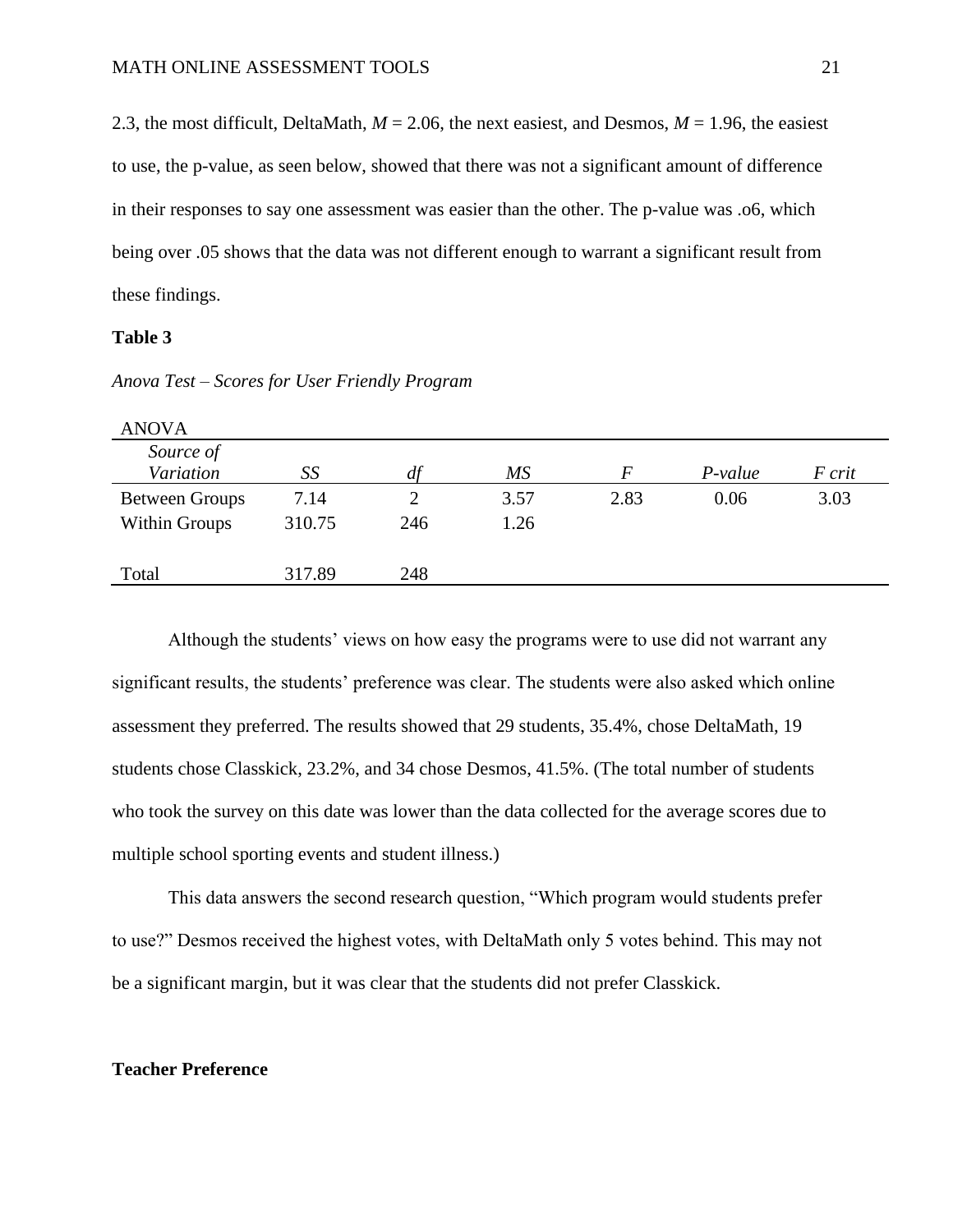2.3, the most difficult, DeltaMath, *M* = 2.06, the next easiest, and Desmos, *M* = 1.96, the easiest to use, the p-value, as seen below, showed that there was not a significant amount of difference in their responses to say one assessment was easier than the other. The p-value was .o6, which being over .05 shows that the data was not different enough to warrant a significant result from these findings.

### **Table 3**

*Anova Test – Scores for User Friendly Program*

| <b>ANOVA</b>          |        |     |      |          |           |        |
|-----------------------|--------|-----|------|----------|-----------|--------|
| Source of             |        |     |      |          |           |        |
| Variation             | SS     | df  | MS   | $\bm{F}$ | $P-value$ | F crit |
| <b>Between Groups</b> | 7.14   |     | 3.57 | 2.83     | 0.06      | 3.03   |
| <b>Within Groups</b>  | 310.75 | 246 | 1.26 |          |           |        |
|                       |        |     |      |          |           |        |
| Total                 | 317.89 | 248 |      |          |           |        |

Although the students' views on how easy the programs were to use did not warrant any significant results, the students' preference was clear. The students were also asked which online assessment they preferred. The results showed that 29 students, 35.4%, chose DeltaMath, 19 students chose Classkick, 23.2%, and 34 chose Desmos, 41.5%. (The total number of students who took the survey on this date was lower than the data collected for the average scores due to multiple school sporting events and student illness.)

This data answers the second research question, "Which program would students prefer to use?" Desmos received the highest votes, with DeltaMath only 5 votes behind. This may not be a significant margin, but it was clear that the students did not prefer Classkick.

## **Teacher Preference**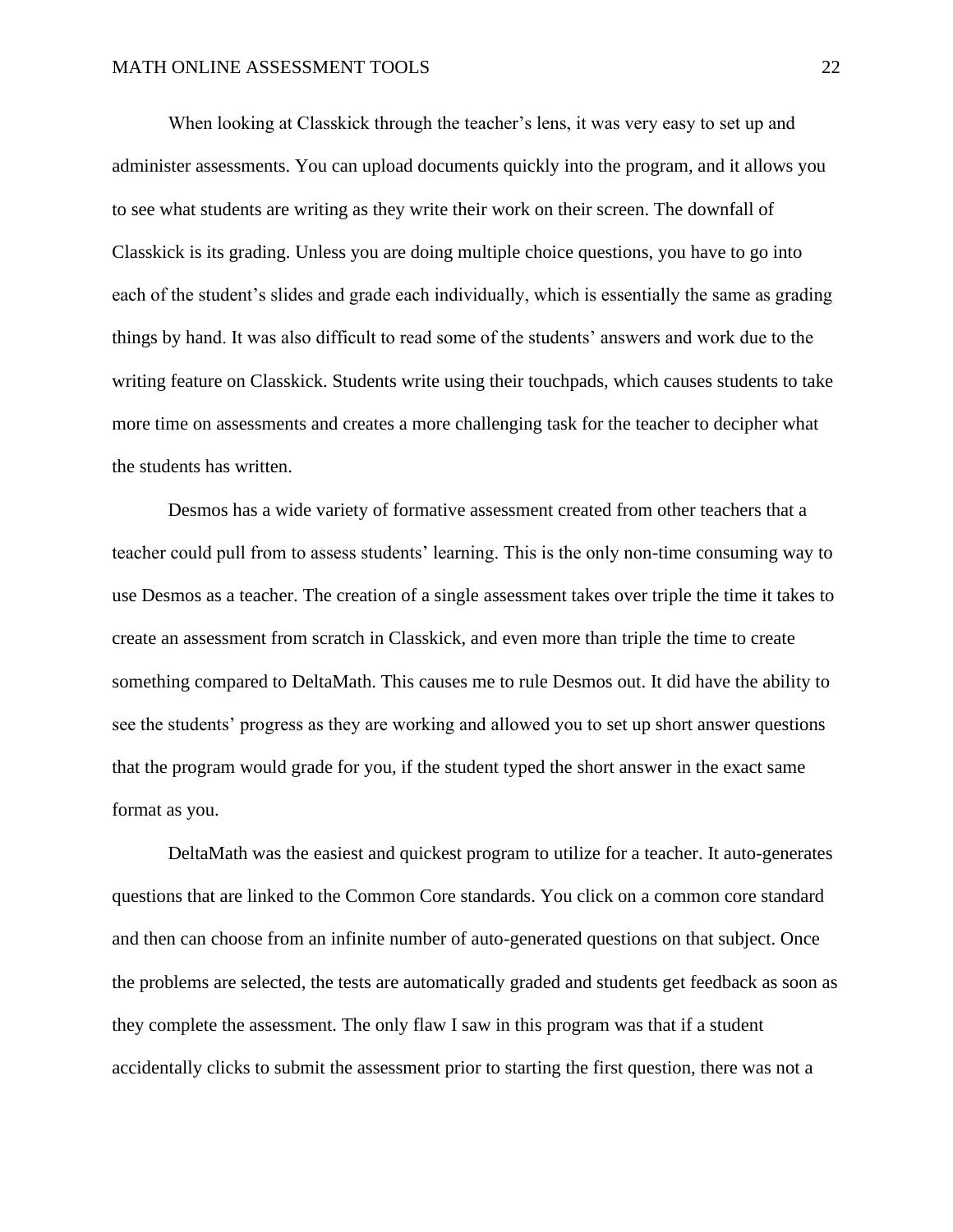When looking at Classkick through the teacher's lens, it was very easy to set up and administer assessments. You can upload documents quickly into the program, and it allows you to see what students are writing as they write their work on their screen. The downfall of Classkick is its grading. Unless you are doing multiple choice questions, you have to go into each of the student's slides and grade each individually, which is essentially the same as grading things by hand. It was also difficult to read some of the students' answers and work due to the writing feature on Classkick. Students write using their touchpads, which causes students to take more time on assessments and creates a more challenging task for the teacher to decipher what the students has written.

Desmos has a wide variety of formative assessment created from other teachers that a teacher could pull from to assess students' learning. This is the only non-time consuming way to use Desmos as a teacher. The creation of a single assessment takes over triple the time it takes to create an assessment from scratch in Classkick, and even more than triple the time to create something compared to DeltaMath. This causes me to rule Desmos out. It did have the ability to see the students' progress as they are working and allowed you to set up short answer questions that the program would grade for you, if the student typed the short answer in the exact same format as you.

DeltaMath was the easiest and quickest program to utilize for a teacher. It auto-generates questions that are linked to the Common Core standards. You click on a common core standard and then can choose from an infinite number of auto-generated questions on that subject. Once the problems are selected, the tests are automatically graded and students get feedback as soon as they complete the assessment. The only flaw I saw in this program was that if a student accidentally clicks to submit the assessment prior to starting the first question, there was not a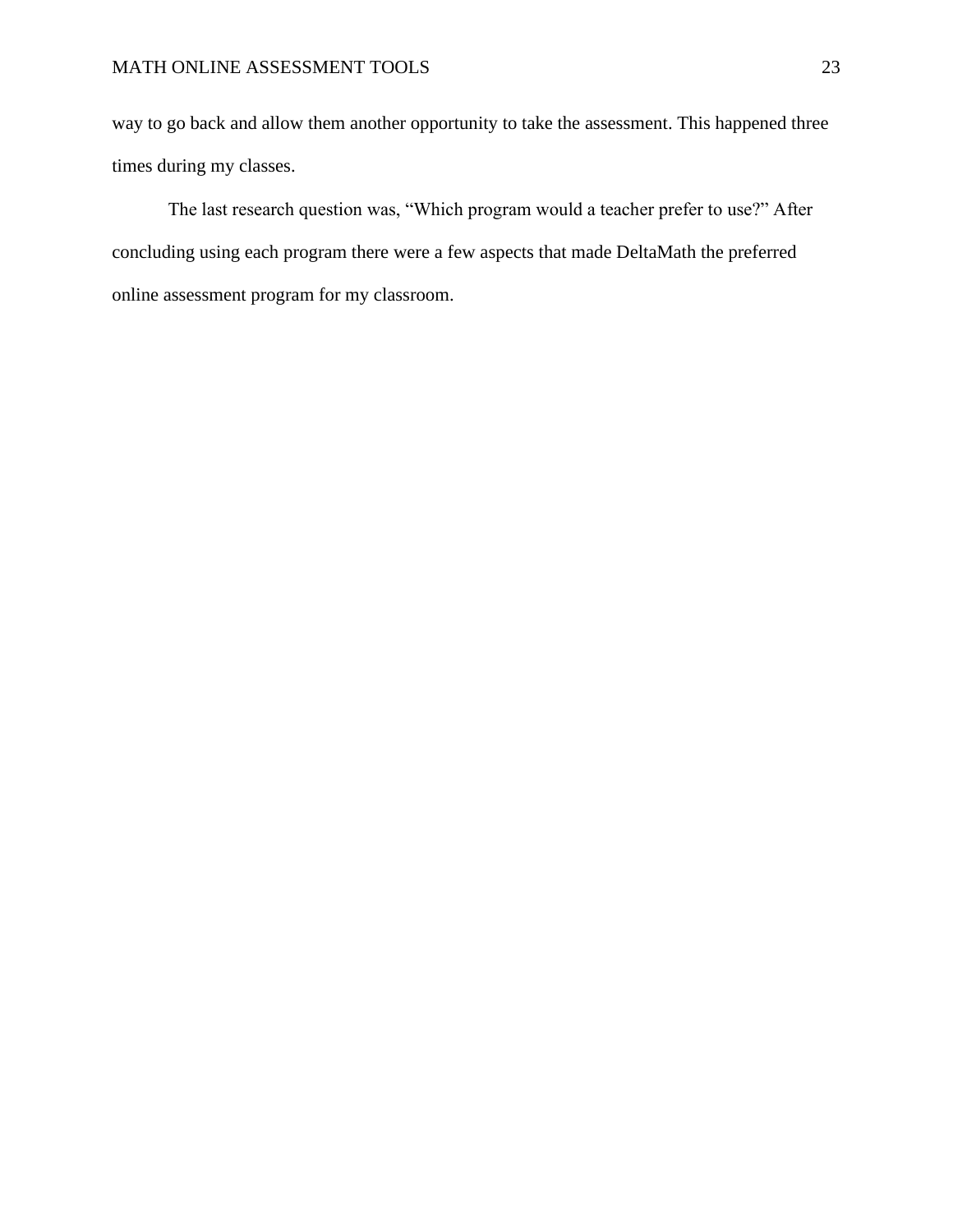## MATH ONLINE ASSESSMENT TOOLS 23

way to go back and allow them another opportunity to take the assessment. This happened three times during my classes.

The last research question was, "Which program would a teacher prefer to use?" After concluding using each program there were a few aspects that made DeltaMath the preferred online assessment program for my classroom.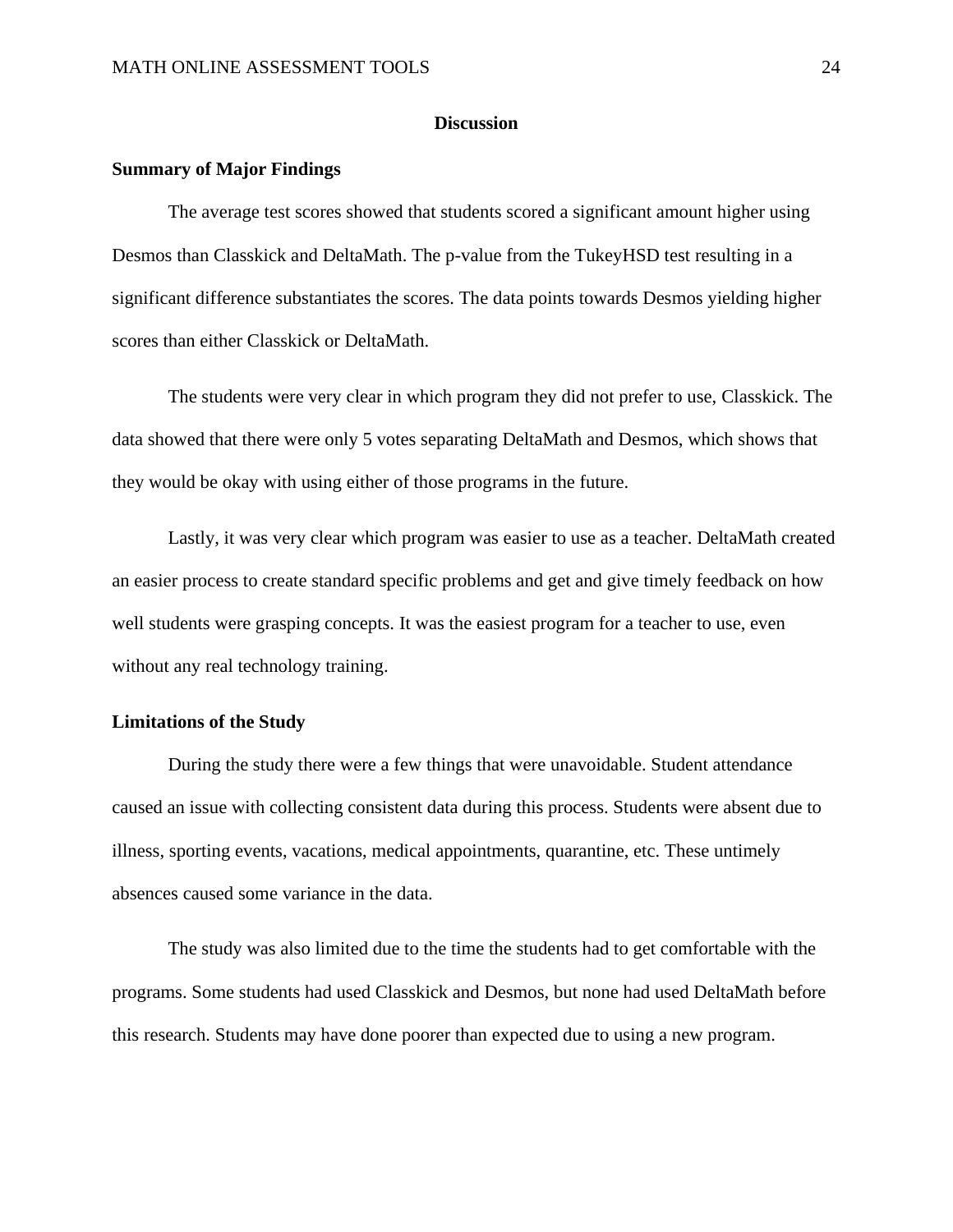## **Discussion**

#### <span id="page-24-1"></span><span id="page-24-0"></span>**Summary of Major Findings**

The average test scores showed that students scored a significant amount higher using Desmos than Classkick and DeltaMath. The p-value from the TukeyHSD test resulting in a significant difference substantiates the scores. The data points towards Desmos yielding higher scores than either Classkick or DeltaMath.

The students were very clear in which program they did not prefer to use, Classkick. The data showed that there were only 5 votes separating DeltaMath and Desmos, which shows that they would be okay with using either of those programs in the future.

Lastly, it was very clear which program was easier to use as a teacher. DeltaMath created an easier process to create standard specific problems and get and give timely feedback on how well students were grasping concepts. It was the easiest program for a teacher to use, even without any real technology training.

## <span id="page-24-2"></span>**Limitations of the Study**

During the study there were a few things that were unavoidable. Student attendance caused an issue with collecting consistent data during this process. Students were absent due to illness, sporting events, vacations, medical appointments, quarantine, etc. These untimely absences caused some variance in the data.

The study was also limited due to the time the students had to get comfortable with the programs. Some students had used Classkick and Desmos, but none had used DeltaMath before this research. Students may have done poorer than expected due to using a new program.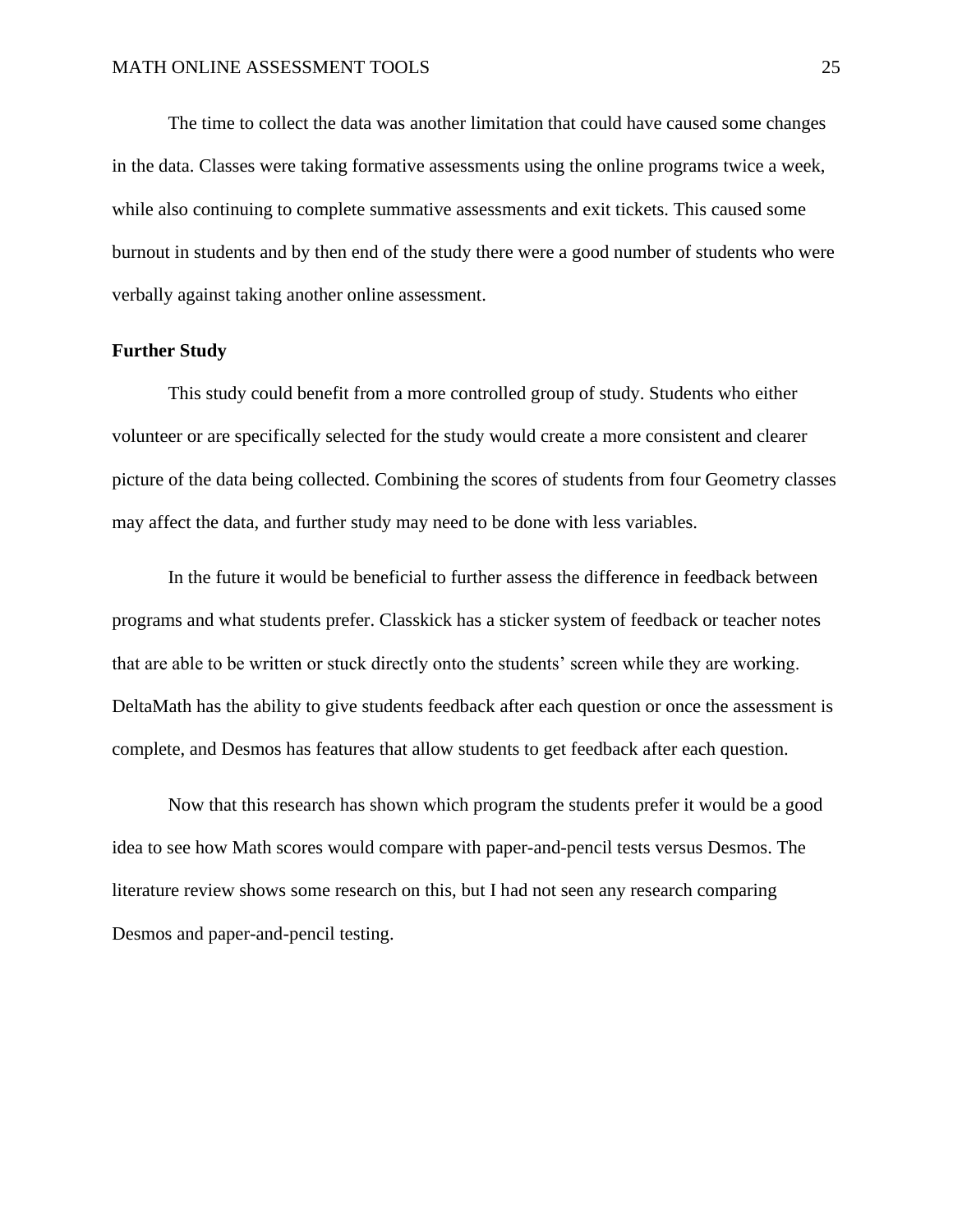The time to collect the data was another limitation that could have caused some changes in the data. Classes were taking formative assessments using the online programs twice a week, while also continuing to complete summative assessments and exit tickets. This caused some burnout in students and by then end of the study there were a good number of students who were verbally against taking another online assessment.

## <span id="page-25-0"></span>**Further Study**

This study could benefit from a more controlled group of study. Students who either volunteer or are specifically selected for the study would create a more consistent and clearer picture of the data being collected. Combining the scores of students from four Geometry classes may affect the data, and further study may need to be done with less variables.

In the future it would be beneficial to further assess the difference in feedback between programs and what students prefer. Classkick has a sticker system of feedback or teacher notes that are able to be written or stuck directly onto the students' screen while they are working. DeltaMath has the ability to give students feedback after each question or once the assessment is complete, and Desmos has features that allow students to get feedback after each question.

Now that this research has shown which program the students prefer it would be a good idea to see how Math scores would compare with paper-and-pencil tests versus Desmos. The literature review shows some research on this, but I had not seen any research comparing Desmos and paper-and-pencil testing.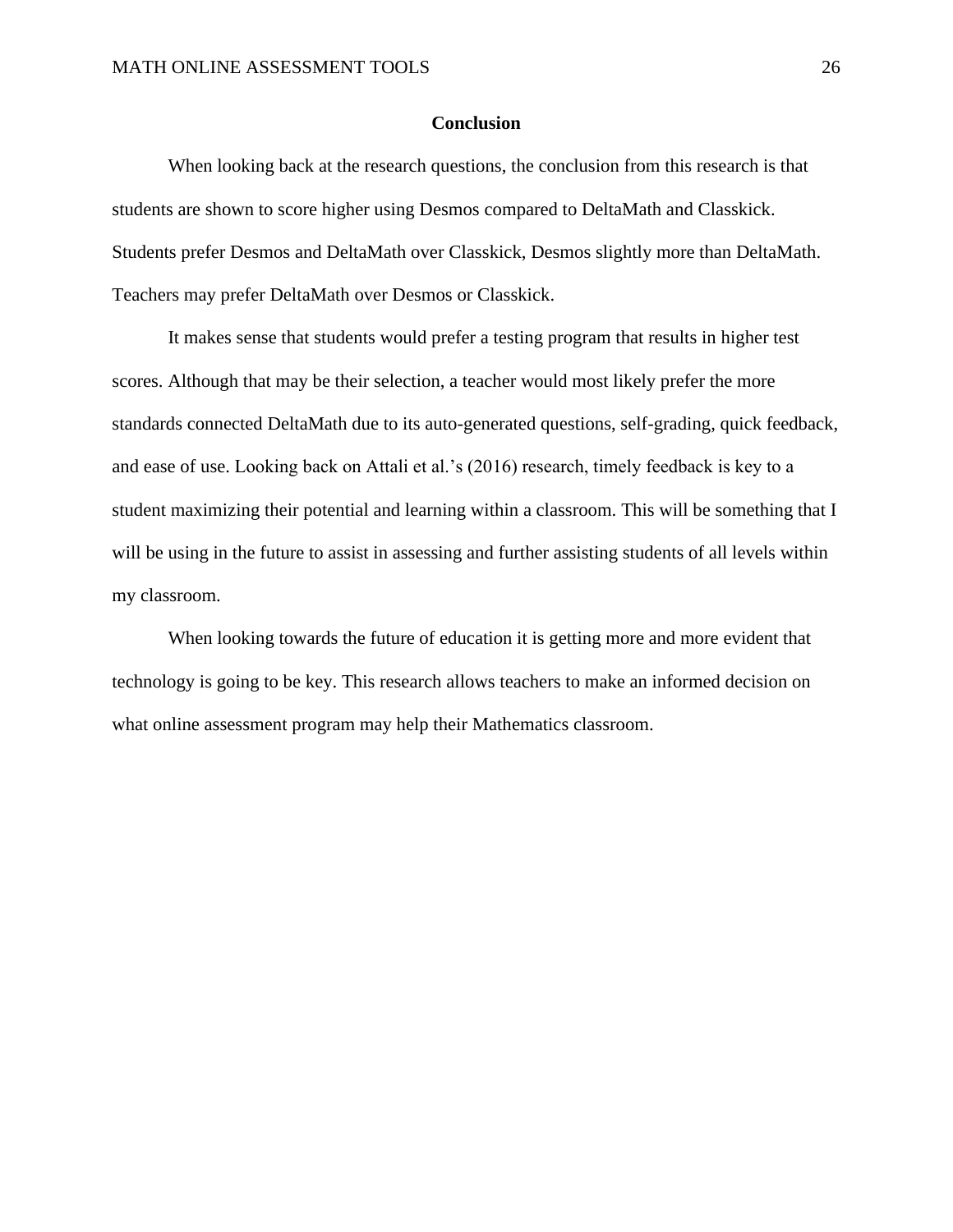## **Conclusion**

<span id="page-26-0"></span>When looking back at the research questions, the conclusion from this research is that students are shown to score higher using Desmos compared to DeltaMath and Classkick. Students prefer Desmos and DeltaMath over Classkick, Desmos slightly more than DeltaMath. Teachers may prefer DeltaMath over Desmos or Classkick.

It makes sense that students would prefer a testing program that results in higher test scores. Although that may be their selection, a teacher would most likely prefer the more standards connected DeltaMath due to its auto-generated questions, self-grading, quick feedback, and ease of use. Looking back on Attali et al.'s (2016) research, timely feedback is key to a student maximizing their potential and learning within a classroom. This will be something that I will be using in the future to assist in assessing and further assisting students of all levels within my classroom.

When looking towards the future of education it is getting more and more evident that technology is going to be key. This research allows teachers to make an informed decision on what online assessment program may help their Mathematics classroom.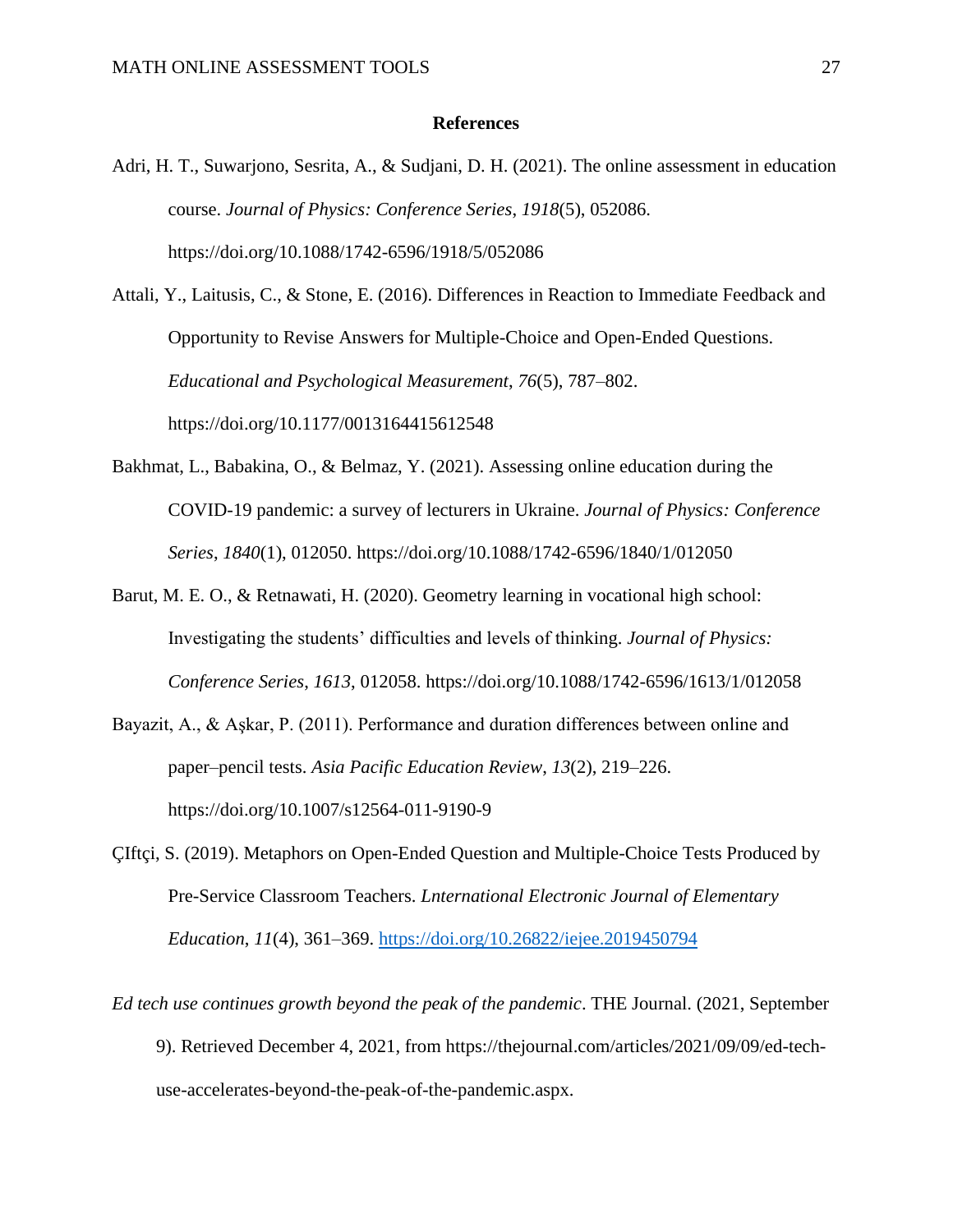#### **References**

<span id="page-27-0"></span>Adri, H. T., Suwarjono, Sesrita, A., & Sudjani, D. H. (2021). The online assessment in education course. *Journal of Physics: Conference Series*, *1918*(5), 052086. https://doi.org/10.1088/1742-6596/1918/5/052086

Attali, Y., Laitusis, C., & Stone, E. (2016). Differences in Reaction to Immediate Feedback and Opportunity to Revise Answers for Multiple-Choice and Open-Ended Questions. *Educational and Psychological Measurement*, *76*(5), 787–802. https://doi.org/10.1177/0013164415612548

- Bakhmat, L., Babakina, O., & Belmaz, Y. (2021). Assessing online education during the COVID-19 pandemic: a survey of lecturers in Ukraine. *Journal of Physics: Conference Series*, *1840*(1), 012050. https://doi.org/10.1088/1742-6596/1840/1/012050
- Barut, M. E. O., & Retnawati, H. (2020). Geometry learning in vocational high school: Investigating the students' difficulties and levels of thinking. *Journal of Physics: Conference Series*, *1613*, 012058. https://doi.org/10.1088/1742-6596/1613/1/012058
- Bayazit, A., & Aşkar, P. (2011). Performance and duration differences between online and paper–pencil tests. *Asia Pacific Education Review*, *13*(2), 219–226. https://doi.org/10.1007/s12564-011-9190-9
- ÇIftçi, S. (2019). Metaphors on Open-Ended Question and Multiple-Choice Tests Produced by Pre-Service Classroom Teachers. *Lnternational Electronic Journal of Elementary Education*, *11*(4), 361–369.<https://doi.org/10.26822/iejee.2019450794>
- *Ed tech use continues growth beyond the peak of the pandemic*. THE Journal. (2021, September 9). Retrieved December 4, 2021, from https://thejournal.com/articles/2021/09/09/ed-techuse-accelerates-beyond-the-peak-of-the-pandemic.aspx.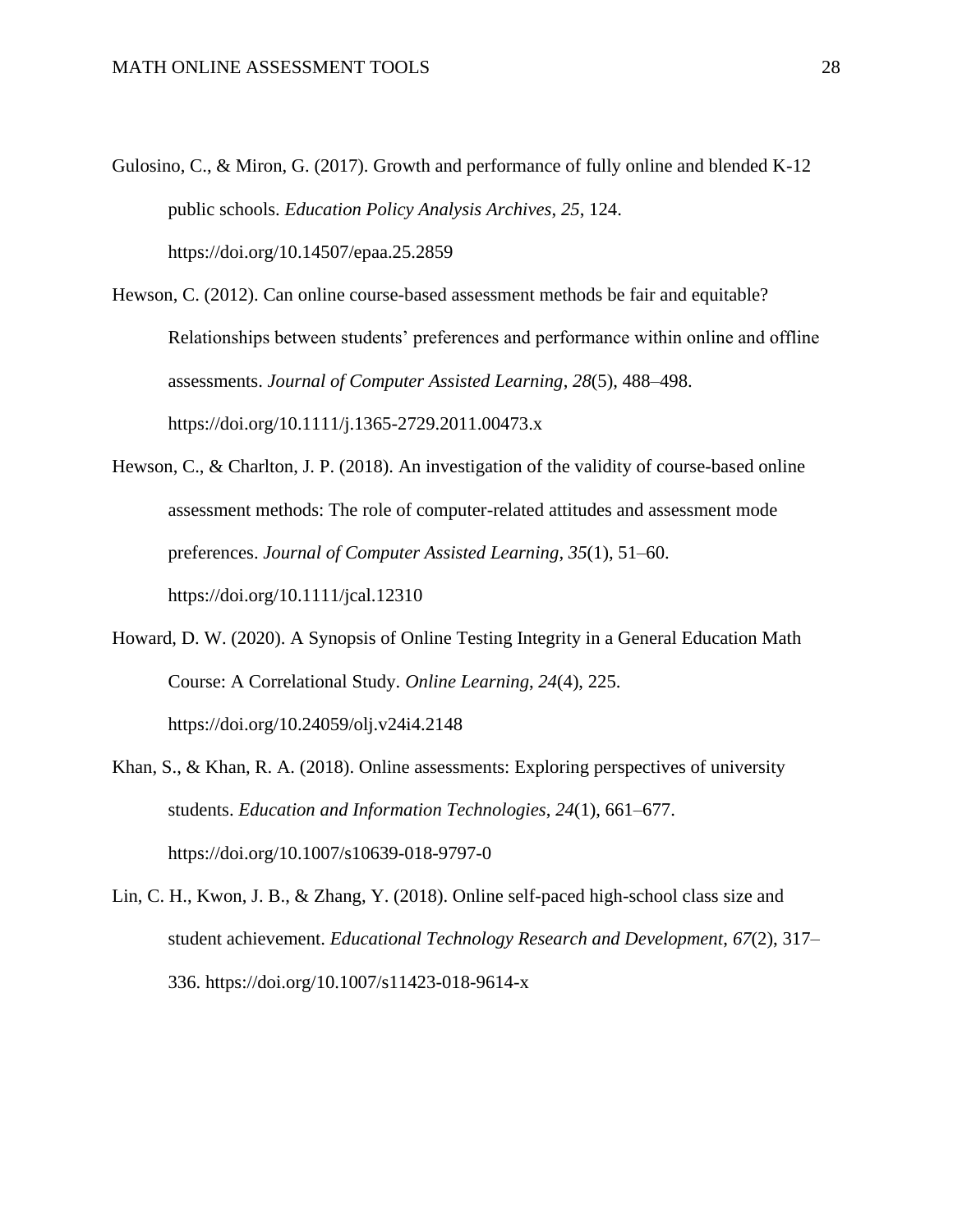- Gulosino, C., & Miron, G. (2017). Growth and performance of fully online and blended K-12 public schools. *Education Policy Analysis Archives*, *25*, 124. https://doi.org/10.14507/epaa.25.2859
- Hewson, C. (2012). Can online course-based assessment methods be fair and equitable? Relationships between students' preferences and performance within online and offline assessments. *Journal of Computer Assisted Learning*, *28*(5), 488–498. https://doi.org/10.1111/j.1365-2729.2011.00473.x
- Hewson, C., & Charlton, J. P. (2018). An investigation of the validity of course-based online assessment methods: The role of computer-related attitudes and assessment mode preferences. *Journal of Computer Assisted Learning*, *35*(1), 51–60. https://doi.org/10.1111/jcal.12310
- Howard, D. W. (2020). A Synopsis of Online Testing Integrity in a General Education Math Course: A Correlational Study. *Online Learning*, *24*(4), 225. https://doi.org/10.24059/olj.v24i4.2148
- Khan, S., & Khan, R. A. (2018). Online assessments: Exploring perspectives of university students. *Education and Information Technologies*, *24*(1), 661–677. https://doi.org/10.1007/s10639-018-9797-0
- Lin, C. H., Kwon, J. B., & Zhang, Y. (2018). Online self-paced high-school class size and student achievement. *Educational Technology Research and Development*, *67*(2), 317– 336. https://doi.org/10.1007/s11423-018-9614-x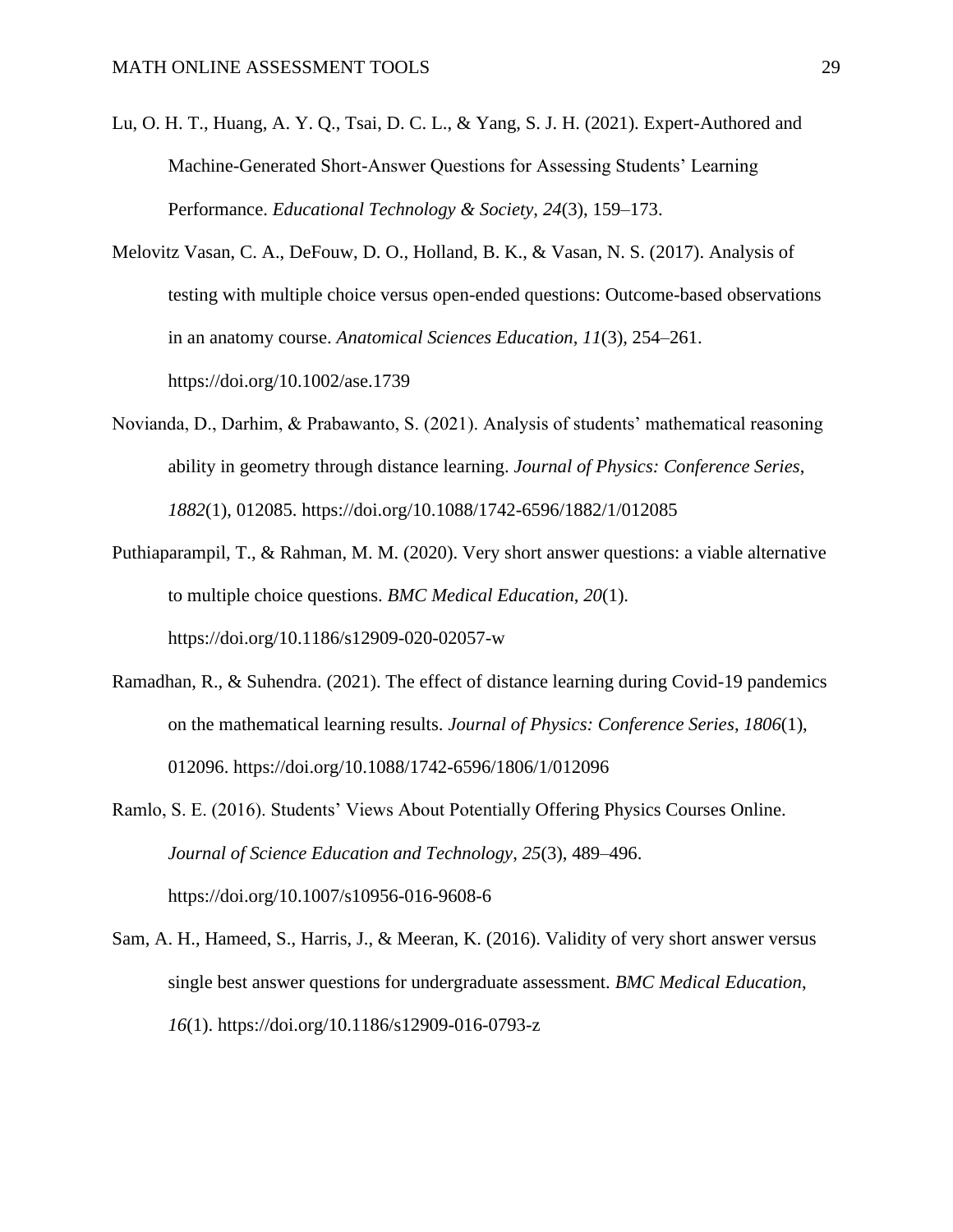- Lu, O. H. T., Huang, A. Y. Q., Tsai, D. C. L., & Yang, S. J. H. (2021). Expert-Authored and Machine-Generated Short-Answer Questions for Assessing Students' Learning Performance. *Educational Technology & Society*, *24*(3), 159–173.
- Melovitz Vasan, C. A., DeFouw, D. O., Holland, B. K., & Vasan, N. S. (2017). Analysis of testing with multiple choice versus open-ended questions: Outcome-based observations in an anatomy course. *Anatomical Sciences Education*, *11*(3), 254–261. https://doi.org/10.1002/ase.1739
- Novianda, D., Darhim, & Prabawanto, S. (2021). Analysis of students' mathematical reasoning ability in geometry through distance learning. *Journal of Physics: Conference Series*, *1882*(1), 012085. https://doi.org/10.1088/1742-6596/1882/1/012085
- Puthiaparampil, T., & Rahman, M. M. (2020). Very short answer questions: a viable alternative to multiple choice questions. *BMC Medical Education*, *20*(1). https://doi.org/10.1186/s12909-020-02057-w
- Ramadhan, R., & Suhendra. (2021). The effect of distance learning during Covid-19 pandemics on the mathematical learning results. *Journal of Physics: Conference Series*, *1806*(1), 012096. https://doi.org/10.1088/1742-6596/1806/1/012096
- Ramlo, S. E. (2016). Students' Views About Potentially Offering Physics Courses Online. *Journal of Science Education and Technology*, *25*(3), 489–496. https://doi.org/10.1007/s10956-016-9608-6
- Sam, A. H., Hameed, S., Harris, J., & Meeran, K. (2016). Validity of very short answer versus single best answer questions for undergraduate assessment. *BMC Medical Education*, *16*(1). https://doi.org/10.1186/s12909-016-0793-z